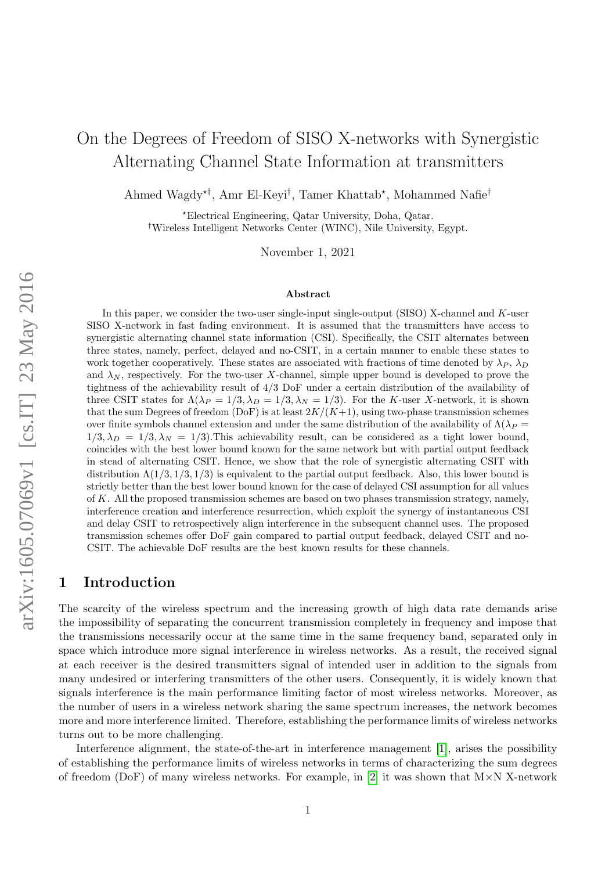# On the Degrees of Freedom of SISO X-networks with Synergistic Alternating Channel State Information at transmitters

Ahmed Wagdy<sup>\*†</sup>, Amr El-Keyi<sup>†</sup>, Tamer Khattab<sup>\*</sup>, Mohammed Nafie<sup>†</sup>

?Electrical Engineering, Qatar University, Doha, Qatar. †Wireless Intelligent Networks Center (WINC), Nile University, Egypt.

November 1, 2021

#### Abstract

arXiv:1605.07069v1 [cs.IT] 23 May 2016 arXiv:1605.07069v1 [cs.IT] 23 May 2016

In this paper, we consider the two-user single-input single-output (SISO) X-channel and K-user SISO X-network in fast fading environment. It is assumed that the transmitters have access to synergistic alternating channel state information (CSI). Specifically, the CSIT alternates between three states, namely, perfect, delayed and no-CSIT, in a certain manner to enable these states to work together cooperatively. These states are associated with fractions of time denoted by  $\lambda_P$ ,  $\lambda_D$ and  $\lambda_N$ , respectively. For the two-user X-channel, simple upper bound is developed to prove the tightness of the achievability result of 4/3 DoF under a certain distribution of the availability of three CSIT states for  $\Lambda(\lambda_P = 1/3, \lambda_D = 1/3, \lambda_N = 1/3)$ . For the K-user X-network, it is shown that the sum Degrees of freedom (DoF) is at least  $2K/(K+1)$ , using two-phase transmission schemes over finite symbols channel extension and under the same distribution of the availability of  $\Lambda(\lambda_P =$  $1/3$ ,  $\lambda_D = 1/3$ ,  $\lambda_N = 1/3$ ). This achievability result, can be considered as a tight lower bound, coincides with the best lower bound known for the same network but with partial output feedback in stead of alternating CSIT. Hence, we show that the role of synergistic alternating CSIT with distribution  $\Lambda(1/3, 1/3, 1/3)$  is equivalent to the partial output feedback. Also, this lower bound is strictly better than the best lower bound known for the case of delayed CSI assumption for all values of K. All the proposed transmission schemes are based on two phases transmission strategy, namely, interference creation and interference resurrection, which exploit the synergy of instantaneous CSI and delay CSIT to retrospectively align interference in the subsequent channel uses. The proposed transmission schemes offer DoF gain compared to partial output feedback, delayed CSIT and no-CSIT. The achievable DoF results are the best known results for these channels.

# 1 Introduction

The scarcity of the wireless spectrum and the increasing growth of high data rate demands arise the impossibility of separating the concurrent transmission completely in frequency and impose that the transmissions necessarily occur at the same time in the same frequency band, separated only in space which introduce more signal interference in wireless networks. As a result, the received signal at each receiver is the desired transmitters signal of intended user in addition to the signals from many undesired or interfering transmitters of the other users. Consequently, it is widely known that signals interference is the main performance limiting factor of most wireless networks. Moreover, as the number of users in a wireless network sharing the same spectrum increases, the network becomes more and more interference limited. Therefore, establishing the performance limits of wireless networks turns out to be more challenging.

Interference alignment, the state-of-the-art in interference management [\[1\]](#page-28-0), arises the possibility of establishing the performance limits of wireless networks in terms of characterizing the sum degrees of freedom (DoF) of many wireless networks. For example, in [\[2\]](#page-28-1) it was shown that  $M \times N$  X-network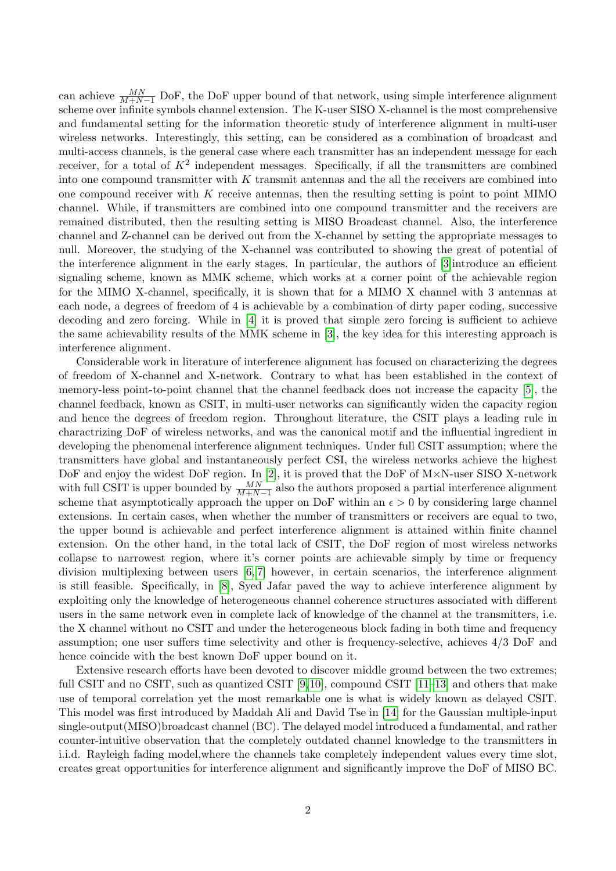can achieve  $\frac{MN}{M+N-1}$  DoF, the DoF upper bound of that network, using simple interference alignment scheme over infinite symbols channel extension. The K-user SISO X-channel is the most comprehensive and fundamental setting for the information theoretic study of interference alignment in multi-user wireless networks. Interestingly, this setting, can be considered as a combination of broadcast and multi-access channels, is the general case where each transmitter has an independent message for each receiver, for a total of  $K^2$  independent messages. Specifically, if all the transmitters are combined into one compound transmitter with  $K$  transmit antennas and the all the receivers are combined into one compound receiver with  $K$  receive antennas, then the resulting setting is point to point MIMO channel. While, if transmitters are combined into one compound transmitter and the receivers are remained distributed, then the resulting setting is MISO Broadcast channel. Also, the interference channel and Z-channel can be derived out from the X-channel by setting the appropriate messages to null. Moreover, the studying of the X-channel was contributed to showing the great of potential of the interference alignment in the early stages. In particular, the authors of [\[3\]](#page-28-2)introduce an efficient signaling scheme, known as MMK scheme, which works at a corner point of the achievable region for the MIMO X-channel, specifically, it is shown that for a MIMO X channel with 3 antennas at each node, a degrees of freedom of 4 is achievable by a combination of dirty paper coding, successive decoding and zero forcing. While in [\[4\]](#page-28-3) it is proved that simple zero forcing is sufficient to achieve the same achievability results of the MMK scheme in [\[3\]](#page-28-2), the key idea for this interesting approach is interference alignment.

Considerable work in literature of interference alignment has focused on characterizing the degrees of freedom of X-channel and X-network. Contrary to what has been established in the context of memory-less point-to-point channel that the channel feedback does not increase the capacity [\[5\]](#page-28-4), the channel feedback, known as CSIT, in multi-user networks can significantly widen the capacity region and hence the degrees of freedom region. Throughout literature, the CSIT plays a leading rule in charactrizing DoF of wireless networks, and was the canonical motif and the influential ingredient in developing the phenomenal interference alignment techniques. Under full CSIT assumption; where the transmitters have global and instantaneously perfect CSI, the wireless networks achieve the highest DoF and enjoy the widest DoF region. In [\[2\]](#page-28-1), it is proved that the DoF of M×N-user SISO X-network with full CSIT is upper bounded by  $\frac{MN}{M+N-1}$  also the authors proposed a partial interference alignment scheme that asymptotically approach the upper on DoF within an  $\epsilon > 0$  by considering large channel extensions. In certain cases, when whether the number of transmitters or receivers are equal to two, the upper bound is achievable and perfect interference alignment is attained within finite channel extension. On the other hand, in the total lack of CSIT, the DoF region of most wireless networks collapse to narrowest region, where it's corner points are achievable simply by time or frequency division multiplexing between users [\[6,](#page-29-0) [7\]](#page-29-1) however, in certain scenarios, the interference alignment is still feasible. Specifically, in [\[8\]](#page-29-2), Syed Jafar paved the way to achieve interference alignment by exploiting only the knowledge of heterogeneous channel coherence structures associated with different users in the same network even in complete lack of knowledge of the channel at the transmitters, i.e. the X channel without no CSIT and under the heterogeneous block fading in both time and frequency assumption; one user suffers time selectivity and other is frequency-selective, achieves 4/3 DoF and hence coincide with the best known DoF upper bound on it.

Extensive research efforts have been devoted to discover middle ground between the two extremes; full CSIT and no CSIT, such as quantized CSIT [\[9,](#page-29-3)[10\]](#page-29-4), compound CSIT [\[11–](#page-29-5)[13\]](#page-29-6) and others that make use of temporal correlation yet the most remarkable one is what is widely known as delayed CSIT. This model was first introduced by Maddah Ali and David Tse in [\[14\]](#page-29-7) for the Gaussian multiple-input single-output(MISO)broadcast channel (BC). The delayed model introduced a fundamental, and rather counter-intuitive observation that the completely outdated channel knowledge to the transmitters in i.i.d. Rayleigh fading model,where the channels take completely independent values every time slot, creates great opportunities for interference alignment and significantly improve the DoF of MISO BC.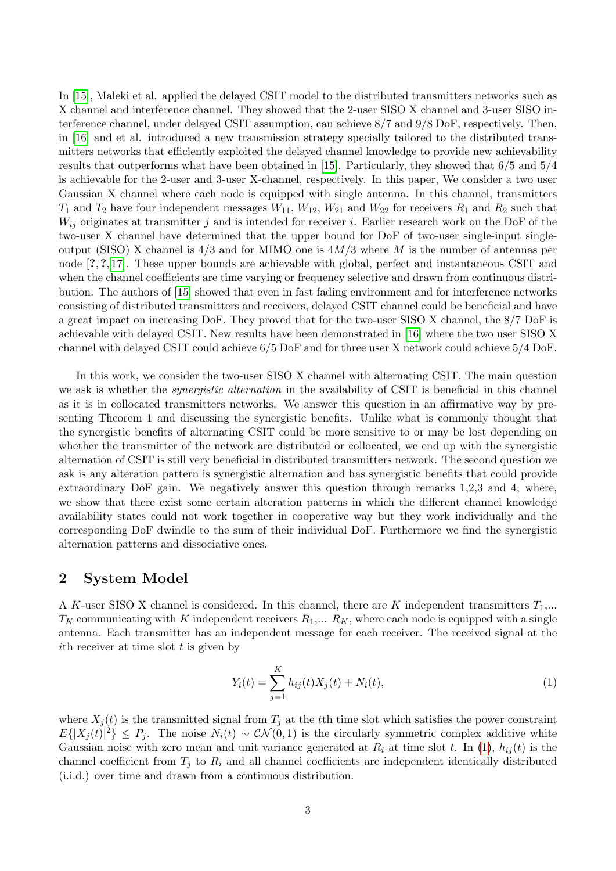In [\[15\]](#page-29-8), Maleki et al. applied the delayed CSIT model to the distributed transmitters networks such as X channel and interference channel. They showed that the 2-user SISO X channel and 3-user SISO interference channel, under delayed CSIT assumption, can achieve 8/7 and 9/8 DoF, respectively. Then, in [\[16\]](#page-29-9) and et al. introduced a new transmission strategy specially tailored to the distributed transmitters networks that efficiently exploited the delayed channel knowledge to provide new achievability results that outperforms what have been obtained in [\[15\]](#page-29-8). Particularly, they showed that 6/5 and 5/4 is achievable for the 2-user and 3-user X-channel, respectively. In this paper, We consider a two user Gaussian X channel where each node is equipped with single antenna. In this channel, transmitters  $T_1$  and  $T_2$  have four independent messages  $W_{11}$ ,  $W_{12}$ ,  $W_{21}$  and  $W_{22}$  for receivers  $R_1$  and  $R_2$  such that  $W_{ij}$  originates at transmitter j and is intended for receiver i. Earlier research work on the DoF of the two-user X channel have determined that the upper bound for DoF of two-user single-input singleoutput (SISO) X channel is  $4/3$  and for MIMO one is  $4M/3$  where M is the number of antennas per node [?, ?, [17\]](#page-29-10). These upper bounds are achievable with global, perfect and instantaneous CSIT and when the channel coefficients are time varying or frequency selective and drawn from continuous distribution. The authors of [\[15\]](#page-29-8) showed that even in fast fading environment and for interference networks consisting of distributed transmitters and receivers, delayed CSIT channel could be beneficial and have a great impact on increasing DoF. They proved that for the two-user SISO X channel, the 8/7 DoF is achievable with delayed CSIT. New results have been demonstrated in [\[16\]](#page-29-9) where the two user SISO X channel with delayed CSIT could achieve 6/5 DoF and for three user X network could achieve 5/4 DoF.

In this work, we consider the two-user SISO X channel with alternating CSIT. The main question we ask is whether the *synergistic alternation* in the availability of CSIT is beneficial in this channel as it is in collocated transmitters networks. We answer this question in an affirmative way by presenting Theorem 1 and discussing the synergistic benefits. Unlike what is commonly thought that the synergistic benefits of alternating CSIT could be more sensitive to or may be lost depending on whether the transmitter of the network are distributed or collocated, we end up with the synergistic alternation of CSIT is still very beneficial in distributed transmitters network. The second question we ask is any alteration pattern is synergistic alternation and has synergistic benefits that could provide extraordinary DoF gain. We negatively answer this question through remarks 1,2,3 and 4; where, we show that there exist some certain alteration patterns in which the different channel knowledge availability states could not work together in cooperative way but they work individually and the corresponding DoF dwindle to the sum of their individual DoF. Furthermore we find the synergistic alternation patterns and dissociative ones.

### 2 System Model

A K-user SISO X channel is considered. In this channel, there are K independent transmitters  $T_1$ ,...  $T_K$  communicating with K independent receivers  $R_1,... R_K$ , where each node is equipped with a single antenna. Each transmitter has an independent message for each receiver. The received signal at the ith receiver at time slot  $t$  is given by

<span id="page-2-0"></span>
$$
Y_i(t) = \sum_{j=1}^{K} h_{ij}(t) X_j(t) + N_i(t),
$$
\n(1)

where  $X_i(t)$  is the transmitted signal from  $T_i$  at the tth time slot which satisfies the power constraint  $E\{|X_j(t)|^2\} \leq P_j$ . The noise  $N_i(t) \sim \mathcal{CN}(0,1)$  is the circularly symmetric complex additive white Gaussian noise with zero mean and unit variance generated at  $R_i$  at time slot t. In [\(1\)](#page-2-0),  $h_{ij}(t)$  is the channel coefficient from  $T_j$  to  $R_i$  and all channel coefficients are independent identically distributed (i.i.d.) over time and drawn from a continuous distribution.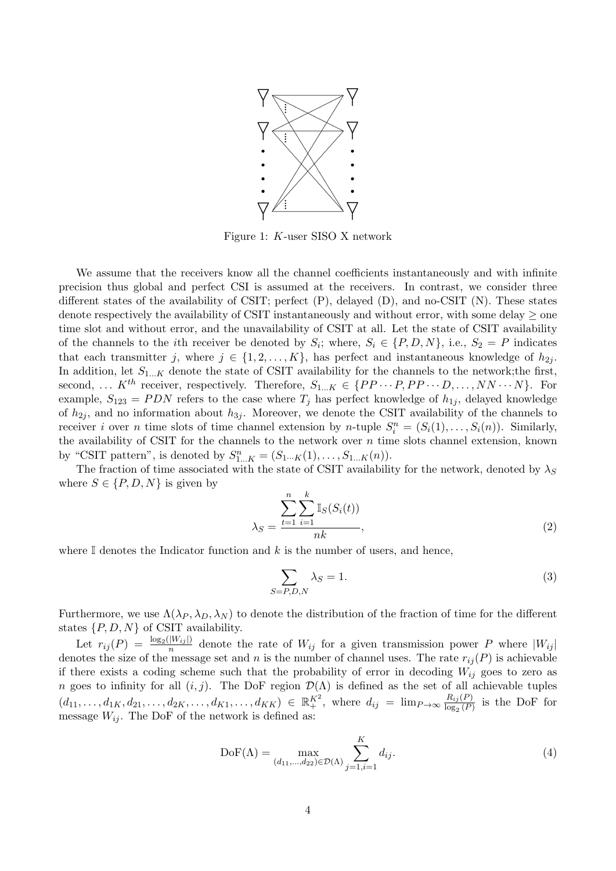

Figure 1: K-user SISO X network

We assume that the receivers know all the channel coefficients instantaneously and with infinite precision thus global and perfect CSI is assumed at the receivers. In contrast, we consider three different states of the availability of CSIT; perfect (P), delayed (D), and no-CSIT (N). These states denote respectively the availability of CSIT instantaneously and without error, with some delay  $\geq$  one time slot and without error, and the unavailability of CSIT at all. Let the state of CSIT availability of the channels to the *i*th receiver be denoted by  $S_i$ ; where,  $S_i \in \{P, D, N\}$ , i.e.,  $S_2 = P$  indicates that each transmitter j, where  $j \in \{1, 2, ..., K\}$ , has perfect and instantaneous knowledge of  $h_{2j}$ . In addition, let  $S_{1...K}$  denote the state of CSIT availability for the channels to the network;the first, second, ...  $K^{th}$  receiver, respectively. Therefore,  $S_{1...K} \in \{PP \cdots P, PP \cdots D, \ldots, NN \cdots N\}$ . For example,  $S_{123} = PDN$  refers to the case where  $T_j$  has perfect knowledge of  $h_{1j}$ , delayed knowledge of  $h_{2i}$ , and no information about  $h_{3i}$ . Moreover, we denote the CSIT availability of the channels to receiver i over n time slots of time channel extension by n-tuple  $S_i^n = (S_i(1), \ldots, S_i(n))$ . Similarly, the availability of CSIT for the channels to the network over  $n$  time slots channel extension, known by "CSIT pattern", is denoted by  $S_{1...K}^n = (S_{1...K}(1), \ldots, S_{1...K}(n)).$ 

The fraction of time associated with the state of CSIT availability for the network, denoted by  $\lambda_S$ where  $S \in \{P, D, N\}$  is given by

$$
\lambda_S = \frac{\sum_{t=1}^n \sum_{i=1}^k \mathbb{I}_S(S_i(t))}{nk},\tag{2}
$$

where  $\mathbb I$  denotes the Indicator function and k is the number of users, and hence,

$$
\sum_{S=P,D,N} \lambda_S = 1. \tag{3}
$$

Furthermore, we use  $\Lambda(\lambda_P, \lambda_D, \lambda_N)$  to denote the distribution of the fraction of time for the different states  $\{P, D, N\}$  of CSIT availability.

Let  $r_{ij}(P) = \frac{\log_2(|W_{ij}|)}{n}$  $\frac{|W_{ij}|}{n}$  denote the rate of  $W_{ij}$  for a given transmission power P where  $|W_{ij}|$ denotes the size of the message set and n is the number of channel uses. The rate  $r_{ij}(P)$  is achievable if there exists a coding scheme such that the probability of error in decoding  $W_{ij}$  goes to zero as n goes to infinity for all  $(i, j)$ . The DoF region  $\mathcal{D}(\Lambda)$  is defined as the set of all achievable tuples  $(d_{11}, \ldots, d_{1K}, d_{21}, \ldots, d_{2K}, \ldots, d_{K1}, \ldots, d_{KK}) \in \mathbb{R}^{K^2}_+$ , where  $d_{ij} = \lim_{P \to \infty} \frac{R_{ij}(P)}{\log_{2}(P)}$  $\frac{R_{ij}(P)}{\log_2(P)}$  is the DoF for message  $W_{ij}$ . The DoF of the network is defined as:

$$
DoF(\Lambda) = \max_{(d_{11},...,d_{22}) \in \mathcal{D}(\Lambda)} \sum_{j=1,i=1}^{K} d_{ij}.
$$
 (4)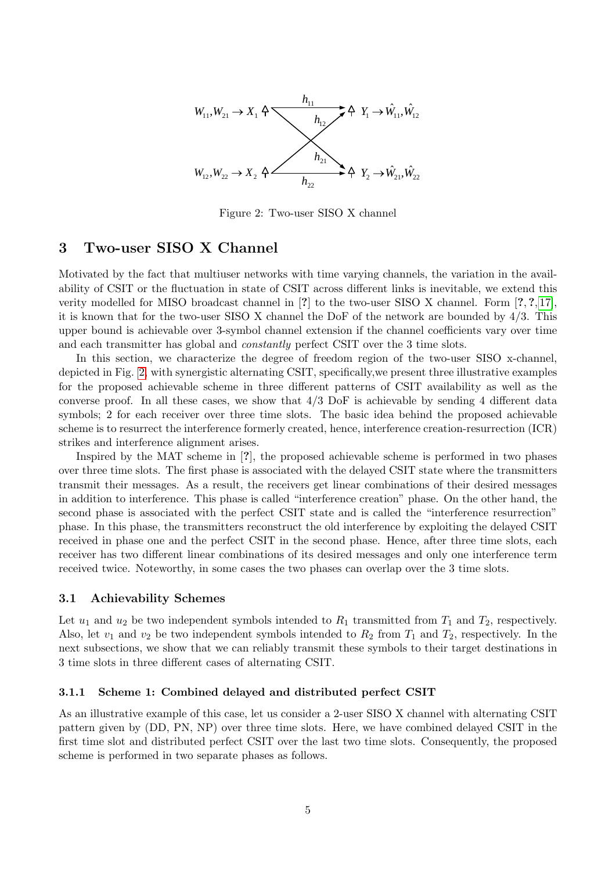<span id="page-4-0"></span>

Figure 2: Two-user SISO X channel

### <span id="page-4-1"></span>3 Two-user SISO X Channel

Motivated by the fact that multiuser networks with time varying channels, the variation in the availability of CSIT or the fluctuation in state of CSIT across different links is inevitable, we extend this verity modelled for MISO broadcast channel in [?] to the two-user SISO X channel. Form [?, ?, [17\]](#page-29-10), it is known that for the two-user SISO X channel the DoF of the network are bounded by 4/3. This upper bound is achievable over 3-symbol channel extension if the channel coefficients vary over time and each transmitter has global and constantly perfect CSIT over the 3 time slots.

In this section, we characterize the degree of freedom region of the two-user SISO x-channel, depicted in Fig. [2,](#page-4-0) with synergistic alternating CSIT, specifically,we present three illustrative examples for the proposed achievable scheme in three different patterns of CSIT availability as well as the converse proof. In all these cases, we show that  $4/3$  DoF is achievable by sending 4 different data symbols; 2 for each receiver over three time slots. The basic idea behind the proposed achievable scheme is to resurrect the interference formerly created, hence, interference creation-resurrection (ICR) strikes and interference alignment arises.

Inspired by the MAT scheme in [?], the proposed achievable scheme is performed in two phases over three time slots. The first phase is associated with the delayed CSIT state where the transmitters transmit their messages. As a result, the receivers get linear combinations of their desired messages in addition to interference. This phase is called "interference creation" phase. On the other hand, the second phase is associated with the perfect CSIT state and is called the "interference resurrection" phase. In this phase, the transmitters reconstruct the old interference by exploiting the delayed CSIT received in phase one and the perfect CSIT in the second phase. Hence, after three time slots, each receiver has two different linear combinations of its desired messages and only one interference term received twice. Noteworthy, in some cases the two phases can overlap over the 3 time slots.

#### <span id="page-4-2"></span>3.1 Achievability Schemes

Let  $u_1$  and  $u_2$  be two independent symbols intended to  $R_1$  transmitted from  $T_1$  and  $T_2$ , respectively. Also, let  $v_1$  and  $v_2$  be two independent symbols intended to  $R_2$  from  $T_1$  and  $T_2$ , respectively. In the next subsections, we show that we can reliably transmit these symbols to their target destinations in 3 time slots in three different cases of alternating CSIT.

#### 3.1.1 Scheme 1: Combined delayed and distributed perfect CSIT

As an illustrative example of this case, let us consider a 2-user SISO X channel with alternating CSIT pattern given by (DD, PN, NP) over three time slots. Here, we have combined delayed CSIT in the first time slot and distributed perfect CSIT over the last two time slots. Consequently, the proposed scheme is performed in two separate phases as follows.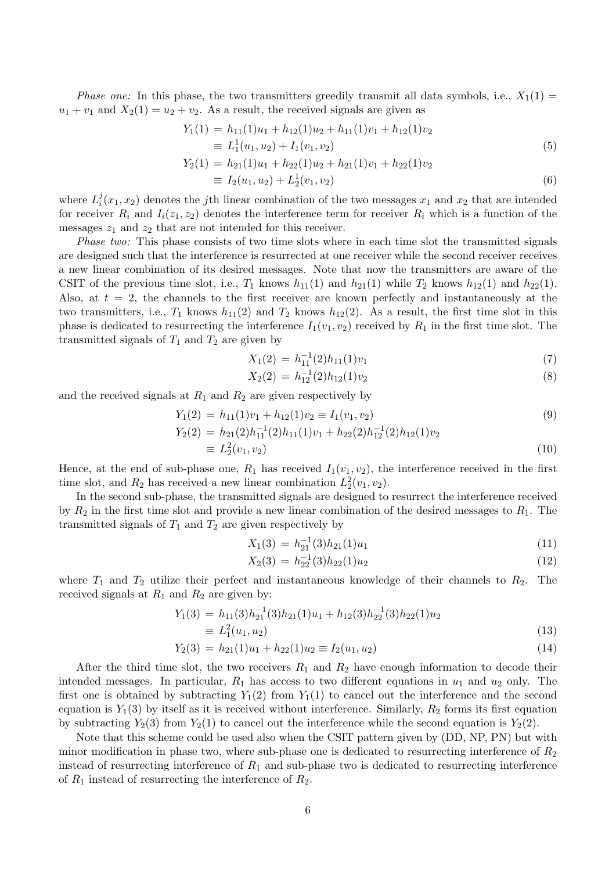*Phase one:* In this phase, the two transmitters greedily transmit all data symbols, i.e.,  $X_1(1) =$  $u_1 + v_1$  and  $X_2(1) = u_2 + v_2$ . As a result, the received signals are given as

$$
Y_1(1) = h_{11}(1)u_1 + h_{12}(1)u_2 + h_{11}(1)v_1 + h_{12}(1)v_2
$$
  
\n
$$
\equiv L_1^1(u_1, u_2) + I_1(v_1, v_2)
$$
\n(5)

$$
Y_2(1) = h_{21}(1)u_1 + h_{22}(1)u_2 + h_{21}(1)v_1 + h_{22}(1)v_2
$$
  
\n
$$
\equiv I_2(u_1, u_2) + L_2^1(v_1, v_2)
$$
\n(6)

where  $L_i^j$  $i(x_1, x_2)$  denotes the jth linear combination of the two messages  $x_1$  and  $x_2$  that are intended for receiver  $R_i$  and  $I_i(z_1, z_2)$  denotes the interference term for receiver  $R_i$  which is a function of the messages  $z_1$  and  $z_2$  that are not intended for this receiver.

Phase two: This phase consists of two time slots where in each time slot the transmitted signals are designed such that the interference is resurrected at one receiver while the second receiver receives a new linear combination of its desired messages. Note that now the transmitters are aware of the CSIT of the previous time slot, i.e.,  $T_1$  knows  $h_{11}(1)$  and  $h_{21}(1)$  while  $T_2$  knows  $h_{12}(1)$  and  $h_{22}(1)$ . Also, at  $t = 2$ , the channels to the first receiver are known perfectly and instantaneously at the two transmitters, i.e.,  $T_1$  knows  $h_{11}(2)$  and  $T_2$  knows  $h_{12}(2)$ . As a result, the first time slot in this phase is dedicated to resurrecting the interference  $I_1(v_1, v_2)$  received by  $R_1$  in the first time slot. The transmitted signals of  $T_1$  and  $T_2$  are given by

$$
X_1(2) = h_{11}^{-1}(2)h_{11}(1)v_1
$$
\n(7)

$$
X_2(2) = h_{12}^{-1}(2)h_{12}(1)v_2
$$
\n(8)

and the received signals at  $R_1$  and  $R_2$  are given respectively by

$$
Y_1(2) = h_{11}(1)v_1 + h_{12}(1)v_2 \equiv I_1(v_1, v_2)
$$
\n(9)

$$
Y_2(2) = h_{21}(2)h_{11}^{-1}(2)h_{11}(1)v_1 + h_{22}(2)h_{12}^{-1}(2)h_{12}(1)v_2
$$
  
\n
$$
\equiv L_2^2(v_1, v_2)
$$
\n(10)

Hence, at the end of sub-phase one,  $R_1$  has received  $I_1(v_1, v_2)$ , the interference received in the first time slot, and  $R_2$  has received a new linear combination  $L_2^2(v_1, v_2)$ .

In the second sub-phase, the transmitted signals are designed to resurrect the interference received by  $R_2$  in the first time slot and provide a new linear combination of the desired messages to  $R_1$ . The transmitted signals of  $T_1$  and  $T_2$  are given respectively by

$$
X_1(3) = h_{21}^{-1}(3)h_{21}(1)u_1
$$
\n(11)

$$
X_2(3) = h_{22}^{-1}(3)h_{22}(1)u_2 \tag{12}
$$

where  $T_1$  and  $T_2$  utilize their perfect and instantaneous knowledge of their channels to  $R_2$ . The received signals at  $R_1$  and  $R_2$  are given by:

$$
Y_1(3) = h_{11}(3)h_{21}^{-1}(3)h_{21}(1)u_1 + h_{12}(3)h_{22}^{-1}(3)h_{22}(1)u_2
$$
  
\n
$$
\equiv L_1^2(u_1, u_2)
$$
\n(13)

$$
Y_2(3) = h_{21}(1)u_1 + h_{22}(1)u_2 \equiv I_2(u_1, u_2)
$$
\n(14)

After the third time slot, the two receivers  $R_1$  and  $R_2$  have enough information to decode their intended messages. In particular,  $R_1$  has access to two different equations in  $u_1$  and  $u_2$  only. The first one is obtained by subtracting  $Y_1(2)$  from  $Y_1(1)$  to cancel out the interference and the second equation is  $Y_1(3)$  by itself as it is received without interference. Similarly,  $R_2$  forms its first equation by subtracting  $Y_2(3)$  from  $Y_2(1)$  to cancel out the interference while the second equation is  $Y_2(2)$ .

Note that this scheme could be used also when the CSIT pattern given by (DD, NP, PN) but with minor modification in phase two, where sub-phase one is dedicated to resurrecting interference of  $R_2$ instead of resurrecting interference of  $R_1$  and sub-phase two is dedicated to resurrecting interference of  $R_1$  instead of resurrecting the interference of  $R_2$ .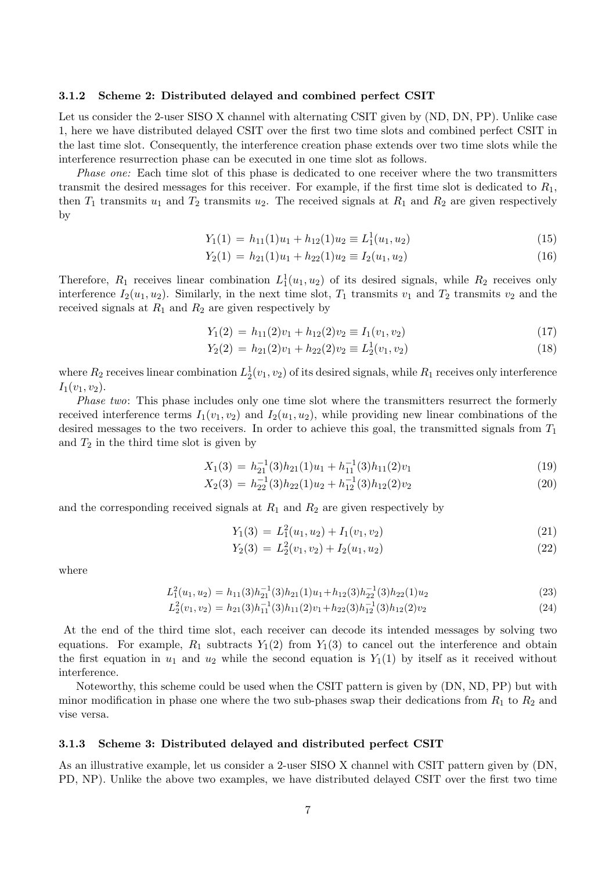#### 3.1.2 Scheme 2: Distributed delayed and combined perfect CSIT

Let us consider the 2-user SISO X channel with alternating CSIT given by (ND, DN, PP). Unlike case 1, here we have distributed delayed CSIT over the first two time slots and combined perfect CSIT in the last time slot. Consequently, the interference creation phase extends over two time slots while the interference resurrection phase can be executed in one time slot as follows.

Phase one: Each time slot of this phase is dedicated to one receiver where the two transmitters transmit the desired messages for this receiver. For example, if the first time slot is dedicated to  $R_1$ , then  $T_1$  transmits  $u_1$  and  $T_2$  transmits  $u_2$ . The received signals at  $R_1$  and  $R_2$  are given respectively by

$$
Y_1(1) = h_{11}(1)u_1 + h_{12}(1)u_2 \equiv L_1^1(u_1, u_2)
$$
\n(15)

$$
Y_2(1) = h_{21}(1)u_1 + h_{22}(1)u_2 \equiv I_2(u_1, u_2)
$$
\n(16)

Therefore,  $R_1$  receives linear combination  $L_1^1(u_1, u_2)$  of its desired signals, while  $R_2$  receives only interference  $I_2(u_1, u_2)$ . Similarly, in the next time slot,  $T_1$  transmits  $v_1$  and  $T_2$  transmits  $v_2$  and the received signals at  $R_1$  and  $R_2$  are given respectively by

$$
Y_1(2) = h_{11}(2)v_1 + h_{12}(2)v_2 \equiv I_1(v_1, v_2)
$$
\n(17)

$$
Y_2(2) = h_{21}(2)v_1 + h_{22}(2)v_2 \equiv L_2^1(v_1, v_2)
$$
\n(18)

where  $R_2$  receives linear combination  $L_2^1(v_1, v_2)$  of its desired signals, while  $R_1$  receives only interference  $I_1(v_1, v_2)$ .

Phase two: This phase includes only one time slot where the transmitters resurrect the formerly received interference terms  $I_1(v_1, v_2)$  and  $I_2(u_1, u_2)$ , while providing new linear combinations of the desired messages to the two receivers. In order to achieve this goal, the transmitted signals from  $T_1$ and  $T_2$  in the third time slot is given by

$$
X_1(3) = h_{21}^{-1}(3)h_{21}(1)u_1 + h_{11}^{-1}(3)h_{11}(2)v_1
$$
\n(19)

$$
X_2(3) = h_{22}^{-1}(3)h_{22}(1)u_2 + h_{12}^{-1}(3)h_{12}(2)v_2
$$
\n(20)

and the corresponding received signals at  $R_1$  and  $R_2$  are given respectively by

$$
Y_1(3) = L_1^2(u_1, u_2) + I_1(v_1, v_2)
$$
\n(21)

$$
Y_2(3) = L_2^2(v_1, v_2) + I_2(u_1, u_2)
$$
\n(22)

where

$$
L_1^2(u_1, u_2) = h_{11}(3)h_{21}(3)h_{21}(1)u_1 + h_{12}(3)h_{22}(3)h_{22}(1)u_2
$$
\n(23)

$$
L_2^2(v_1, v_2) = h_{21}(3)h_{11}^{-1}(3)h_{11}(2)v_1 + h_{22}(3)h_{12}^{-1}(3)h_{12}(2)v_2
$$
\n(24)

At the end of the third time slot, each receiver can decode its intended messages by solving two equations. For example,  $R_1$  subtracts  $Y_1(2)$  from  $Y_1(3)$  to cancel out the interference and obtain the first equation in  $u_1$  and  $u_2$  while the second equation is  $Y_1(1)$  by itself as it received without interference.

Noteworthy, this scheme could be used when the CSIT pattern is given by (DN, ND, PP) but with minor modification in phase one where the two sub-phases swap their dedications from  $R_1$  to  $R_2$  and vise versa.

#### 3.1.3 Scheme 3: Distributed delayed and distributed perfect CSIT

As an illustrative example, let us consider a 2-user SISO X channel with CSIT pattern given by (DN, PD, NP). Unlike the above two examples, we have distributed delayed CSIT over the first two time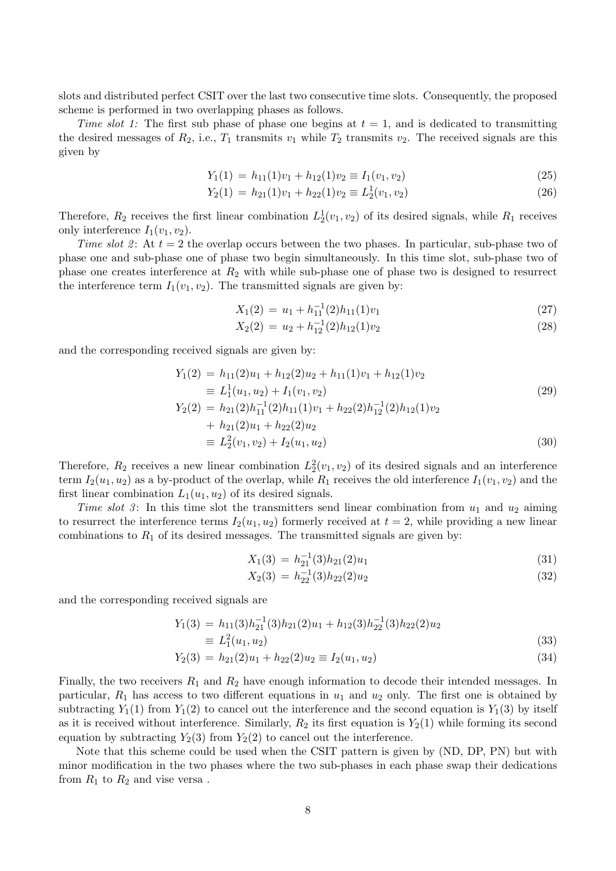slots and distributed perfect CSIT over the last two consecutive time slots. Consequently, the proposed scheme is performed in two overlapping phases as follows.

Time slot 1: The first sub phase of phase one begins at  $t = 1$ , and is dedicated to transmitting the desired messages of  $R_2$ , i.e.,  $T_1$  transmits  $v_1$  while  $T_2$  transmits  $v_2$ . The received signals are this given by

$$
Y_1(1) = h_{11}(1)v_1 + h_{12}(1)v_2 \equiv I_1(v_1, v_2)
$$
\n(25)

$$
Y_2(1) = h_{21}(1)v_1 + h_{22}(1)v_2 \equiv L_2^1(v_1, v_2)
$$
\n(26)

Therefore,  $R_2$  receives the first linear combination  $L_2^1(v_1, v_2)$  of its desired signals, while  $R_1$  receives only interference  $I_1(v_1, v_2)$ .

Time slot 2: At  $t = 2$  the overlap occurs between the two phases. In particular, sub-phase two of phase one and sub-phase one of phase two begin simultaneously. In this time slot, sub-phase two of phase one creates interference at  $R_2$  with while sub-phase one of phase two is designed to resurrect the interference term  $I_1(v_1, v_2)$ . The transmitted signals are given by:

$$
X_1(2) = u_1 + h_{11}^{-1}(2)h_{11}(1)v_1
$$
\n(27)

$$
X_2(2) = u_2 + h_{12}^{-1}(2)h_{12}(1)v_2
$$
\n(28)

and the corresponding received signals are given by:

$$
Y_1(2) = h_{11}(2)u_1 + h_{12}(2)u_2 + h_{11}(1)v_1 + h_{12}(1)v_2
$$
  
\n
$$
\equiv L_1^1(u_1, u_2) + I_1(v_1, v_2)
$$
  
\n
$$
Y_2(2) = h_{21}(2)h_{11}^{-1}(2)h_{11}(1)v_1 + h_{22}(2)h_{12}^{-1}(2)h_{12}(1)v_2
$$
  
\n
$$
+ h_{21}(2)u_1 + h_{22}(2)u_2
$$
  
\n
$$
\equiv L_2^2(v_1, v_2) + I_2(u_1, u_2)
$$
\n(30)

Therefore,  $R_2$  receives a new linear combination  $L_2^2(v_1, v_2)$  of its desired signals and an interference term  $I_2(u_1, u_2)$  as a by-product of the overlap, while  $R_1$  receives the old interference  $I_1(v_1, v_2)$  and the first linear combination  $L_1(u_1, u_2)$  of its desired signals.

Time slot 3: In this time slot the transmitters send linear combination from  $u_1$  and  $u_2$  aiming to resurrect the interference terms  $I_2(u_1, u_2)$  formerly received at  $t = 2$ , while providing a new linear combinations to  $R_1$  of its desired messages. The transmitted signals are given by:

$$
X_1(3) = h_{21}^{-1}(3)h_{21}(2)u_1 \tag{31}
$$

$$
X_2(3) = h_{22}^{-1}(3)h_{22}(2)u_2
$$
\n(32)

and the corresponding received signals are

$$
Y_1(3) = h_{11}(3)h_{21}^{-1}(3)h_{21}(2)u_1 + h_{12}(3)h_{22}^{-1}(3)h_{22}(2)u_2
$$
  
\n
$$
\equiv L_1^2(u_1, u_2)
$$
\n(33)

$$
Y_2(3) = h_{21}(2)u_1 + h_{22}(2)u_2 \equiv I_2(u_1, u_2)
$$
\n(34)

Finally, the two receivers  $R_1$  and  $R_2$  have enough information to decode their intended messages. In particular,  $R_1$  has access to two different equations in  $u_1$  and  $u_2$  only. The first one is obtained by subtracting  $Y_1(1)$  from  $Y_1(2)$  to cancel out the interference and the second equation is  $Y_1(3)$  by itself as it is received without interference. Similarly,  $R_2$  its first equation is  $Y_2(1)$  while forming its second equation by subtracting  $Y_2(3)$  from  $Y_2(2)$  to cancel out the interference.

Note that this scheme could be used when the CSIT pattern is given by (ND, DP, PN) but with minor modification in the two phases where the two sub-phases in each phase swap their dedications from  $R_1$  to  $R_2$  and vise versa.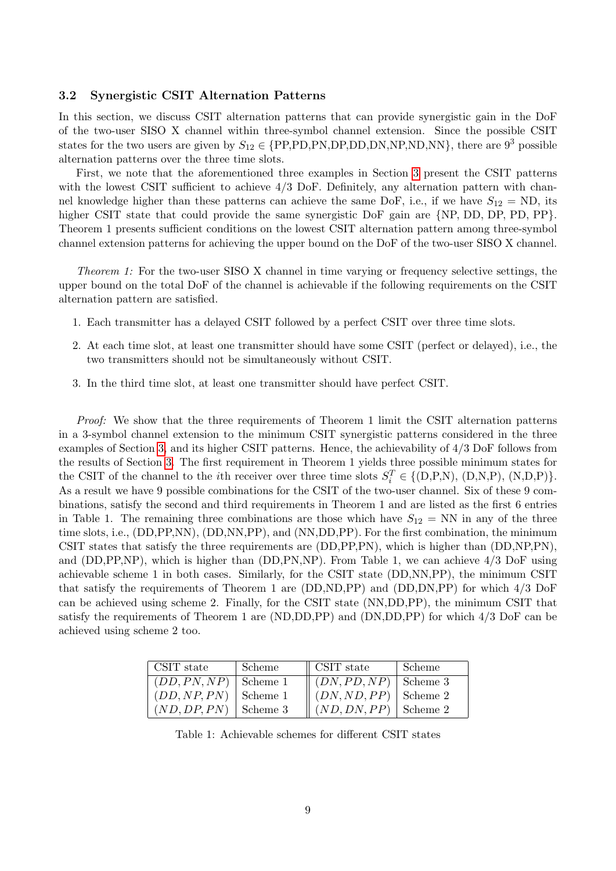#### 3.2 Synergistic CSIT Alternation Patterns

In this section, we discuss CSIT alternation patterns that can provide synergistic gain in the DoF of the two-user SISO X channel within three-symbol channel extension. Since the possible CSIT states for the two users are given by  $S_{12} \in \{PP, PD, PN, DP, DD, NN, NP, ND, NN\}$ , there are  $9^3$  possible alternation patterns over the three time slots.

First, we note that the aforementioned three examples in Section [3](#page-4-1) present the CSIT patterns with the lowest CSIT sufficient to achieve  $4/3$  DoF. Definitely, any alternation pattern with channel knowledge higher than these patterns can achieve the same DoF, i.e., if we have  $S_{12} = \text{ND}$ , its higher CSIT state that could provide the same synergistic DoF gain are {NP, DD, DP, PD, PP}. Theorem 1 presents sufficient conditions on the lowest CSIT alternation pattern among three-symbol channel extension patterns for achieving the upper bound on the DoF of the two-user SISO X channel.

Theorem 1: For the two-user SISO X channel in time varying or frequency selective settings, the upper bound on the total DoF of the channel is achievable if the following requirements on the CSIT alternation pattern are satisfied.

- 1. Each transmitter has a delayed CSIT followed by a perfect CSIT over three time slots.
- 2. At each time slot, at least one transmitter should have some CSIT (perfect or delayed), i.e., the two transmitters should not be simultaneously without CSIT.
- 3. In the third time slot, at least one transmitter should have perfect CSIT.

Proof: We show that the three requirements of Theorem 1 limit the CSIT alternation patterns in a 3-symbol channel extension to the minimum CSIT synergistic patterns considered in the three examples of Section [3,](#page-4-1) and its higher CSIT patterns. Hence, the achievability of 4/3 DoF follows from the results of Section [3.](#page-4-1) The first requirement in Theorem 1 yields three possible minimum states for the CSIT of the channel to the *i*th receiver over three time slots  $S_i^T \in \{(\text{D}, \text{P}, \text{N}), (\text{D}, \text{N}, \text{P}), (\text{N}, \text{D}, \text{P})\}.$ As a result we have 9 possible combinations for the CSIT of the two-user channel. Six of these 9 combinations, satisfy the second and third requirements in Theorem 1 and are listed as the first 6 entries in Table 1. The remaining three combinations are those which have  $S_{12} = NN$  in any of the three time slots, i.e., (DD,PP,NN), (DD,NN,PP), and (NN,DD,PP). For the first combination, the minimum CSIT states that satisfy the three requirements are (DD,PP,PN), which is higher than (DD,NP,PN), and (DD,PP,NP), which is higher than (DD,PN,NP). From Table 1, we can achieve 4/3 DoF using achievable scheme 1 in both cases. Similarly, for the CSIT state (DD,NN,PP), the minimum CSIT that satisfy the requirements of Theorem 1 are (DD,ND,PP) and (DD,DN,PP) for which 4/3 DoF can be achieved using scheme 2. Finally, for the CSIT state (NN,DD,PP), the minimum CSIT that satisfy the requirements of Theorem 1 are (ND,DD,PP) and (DN,DD,PP) for which 4/3 DoF can be achieved using scheme 2 too.

| CSIT state              | Scheme   | $\parallel$ CSIT state   | Scheme   |
|-------------------------|----------|--------------------------|----------|
| $(DD, PN, NP)$ Scheme 1 |          | $\parallel$ (DN, PD, NP) | Scheme 3 |
| (DD, NP, PN)            | Scheme 1 | $\parallel$ (DN, ND, PP) | Scheme 2 |
| (ND, DP, PN)            | Scheme 3 | $\parallel (ND, DN, PP)$ | Scheme 2 |

Table 1: Achievable schemes for different CSIT states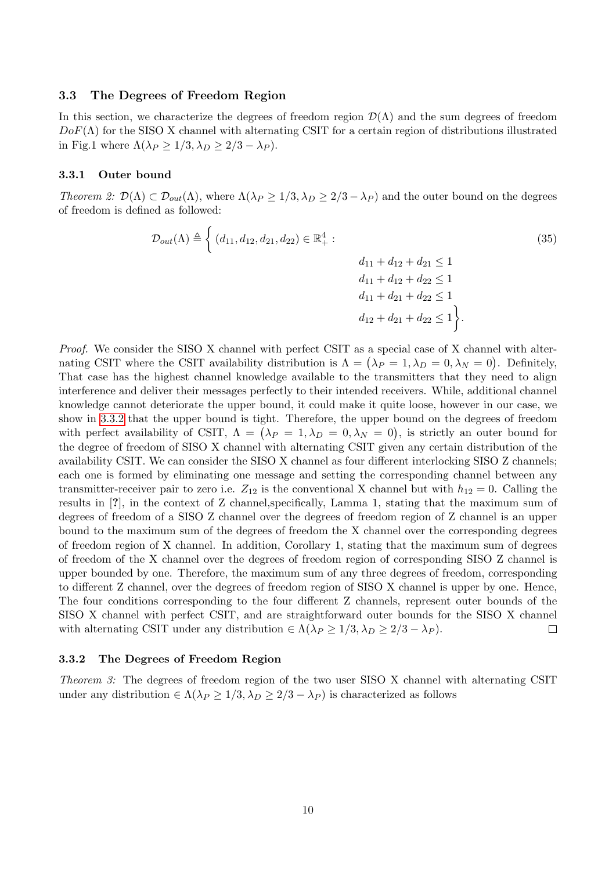#### 3.3 The Degrees of Freedom Region

In this section, we characterize the degrees of freedom region  $\mathcal{D}(\Lambda)$  and the sum degrees of freedom  $DoF(\Lambda)$  for the SISO X channel with alternating CSIT for a certain region of distributions illustrated in Fig.1 where  $\Lambda(\lambda_P \geq 1/3, \lambda_D \geq 2/3 - \lambda_P)$ .

#### 3.3.1 Outer bound

Theorem 2:  $\mathcal{D}(\Lambda) \subset \mathcal{D}_{out}(\Lambda)$ , where  $\Lambda(\lambda_P \geq 1/3, \lambda_D \geq 2/3 - \lambda_P)$  and the outer bound on the degrees of freedom is defined as followed:

$$
\mathcal{D}_{out}(\Lambda) \triangleq \left\{ (d_{11}, d_{12}, d_{21}, d_{22}) \in \mathbb{R}^4_+ : \nd_{11} + d_{12} + d_{21} \le 1 \nd_{11} + d_{12} + d_{22} \le 1 \nd_{11} + d_{21} + d_{22} \le 1 \nd_{12} + d_{21} + d_{22} \le 1 \right\}.
$$
\n(35)

Proof. We consider the SISO X channel with perfect CSIT as a special case of X channel with alternating CSIT where the CSIT availability distribution is  $\Lambda = (\lambda_P = 1, \lambda_D = 0, \lambda_N = 0)$ . Definitely, That case has the highest channel knowledge available to the transmitters that they need to align interference and deliver their messages perfectly to their intended receivers. While, additional channel knowledge cannot deteriorate the upper bound, it could make it quite loose, however in our case, we show in [3.3.2](#page-9-0) that the upper bound is tight. Therefore, the upper bound on the degrees of freedom with perfect availability of CSIT,  $\Lambda = (\lambda_P = 1, \lambda_D = 0, \lambda_N = 0)$ , is strictly an outer bound for the degree of freedom of SISO X channel with alternating CSIT given any certain distribution of the availability CSIT. We can consider the SISO X channel as four different interlocking SISO Z channels; each one is formed by eliminating one message and setting the corresponding channel between any transmitter-receiver pair to zero i.e.  $Z_{12}$  is the conventional X channel but with  $h_{12} = 0$ . Calling the results in [?], in the context of Z channel,specifically, Lamma 1, stating that the maximum sum of degrees of freedom of a SISO Z channel over the degrees of freedom region of Z channel is an upper bound to the maximum sum of the degrees of freedom the X channel over the corresponding degrees of freedom region of X channel. In addition, Corollary 1, stating that the maximum sum of degrees of freedom of the X channel over the degrees of freedom region of corresponding SISO Z channel is upper bounded by one. Therefore, the maximum sum of any three degrees of freedom, corresponding to different Z channel, over the degrees of freedom region of SISO X channel is upper by one. Hence, The four conditions corresponding to the four different Z channels, represent outer bounds of the SISO X channel with perfect CSIT, and are straightforward outer bounds for the SISO X channel with alternating CSIT under any distribution  $\in \Lambda(\lambda_P \geq 1/3, \lambda_D \geq 2/3 - \lambda_P)$ .  $\Box$ 

#### <span id="page-9-0"></span>3.3.2 The Degrees of Freedom Region

Theorem 3: The degrees of freedom region of the two user SISO X channel with alternating CSIT under any distribution  $\in \Lambda(\lambda_P \geq 1/3, \lambda_D \geq 2/3 - \lambda_P)$  is characterized as follows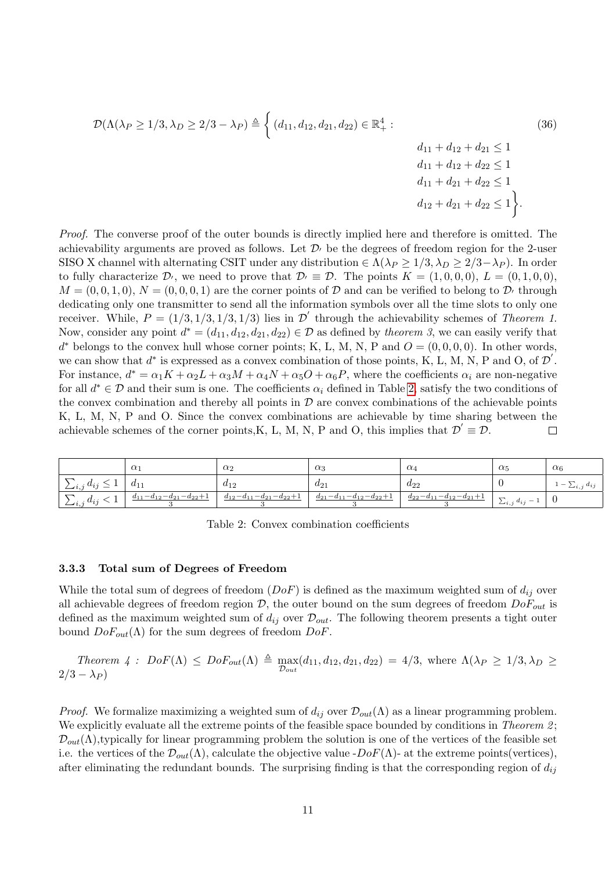$$
\mathcal{D}(\Lambda(\lambda_P \ge 1/3, \lambda_D \ge 2/3 - \lambda_P) \triangleq \begin{cases} (d_{11}, d_{12}, d_{21}, d_{22}) \in \mathbb{R}_+^4: & (36) \\ 4_{11} + d_{12} + d_{21} \le 1 & d_{11} + d_{12} + d_{22} \le 1 \\ d_{11} + d_{21} + d_{22} \le 1 & d_{12} + d_{22} \le 1 \\ d_{12} + d_{21} + d_{22} \le 1 \end{cases}
$$

Proof. The converse proof of the outer bounds is directly implied here and therefore is omitted. The achievability arguments are proved as follows. Let  $\mathcal{D}_1$  be the degrees of freedom region for the 2-user SISO X channel with alternating CSIT under any distribution  $\in \Lambda(\lambda_P \geq 1/3, \lambda_D \geq 2/3-\lambda_P)$ . In order to fully characterize  $\mathcal{D}_1$ , we need to prove that  $\mathcal{D}_1 \equiv \mathcal{D}$ . The points  $K = (1, 0, 0, 0), L = (0, 1, 0, 0)$ ,  $M = (0, 0, 1, 0), N = (0, 0, 0, 1)$  are the corner points of D and can be verified to belong to D<sub>i</sub> through dedicating only one transmitter to send all the information symbols over all the time slots to only one receiver. While,  $P = (1/3, 1/3, 1/3, 1/3)$  lies in  $\mathcal{D}'$  through the achievability schemes of Theorem 1. Now, consider any point  $d^* = (d_{11}, d_{12}, d_{21}, d_{22}) \in \mathcal{D}$  as defined by theorem 3, we can easily verify that  $d^*$  belongs to the convex hull whose corner points; K, L, M, N, P and  $O = (0, 0, 0, 0)$ . In other words, we can show that  $d^*$  is expressed as a convex combination of those points, K, L, M, N, P and O, of  $\mathcal{D}'$ . For instance,  $d^* = \alpha_1 K + \alpha_2 L + \alpha_3 M + \alpha_4 N + \alpha_5 O + \alpha_6 P$ , where the coefficients  $\alpha_i$  are non-negative for all  $d^* \in \mathcal{D}$  and their sum is one. The coefficients  $\alpha_i$  defined in Table [2,](#page-10-0) satisfy the two conditions of the convex combination and thereby all points in  $\mathcal D$  are convex combinations of the achievable points K, L, M, N, P and O. Since the convex combinations are achievable by time sharing between the achievable schemes of the corner points, K, L, M, N, P and O, this implies that  $\mathcal{D}' \equiv \mathcal{D}$ .  $\Box$ 

<span id="page-10-0"></span>

|                                            | $\alpha$                        | $\alpha_2$                      | $\alpha_3$                      | $\alpha_4$                      | $\alpha_5$                                                                 | $\alpha_6$                                             |
|--------------------------------------------|---------------------------------|---------------------------------|---------------------------------|---------------------------------|----------------------------------------------------------------------------|--------------------------------------------------------|
| $\alpha$ .<br>$u_{22}$<br>$\leftarrow i$ . | $u_{11}$                        | $a_{12}$                        | $a_{21}$                        | $u_{22}$                        |                                                                            | $d_{ij}$<br>$\overline{\phantom{0}}$<br>$\sum i_{1,i}$ |
| $a_{ii}$<br>$\sum_{i,j}$                   | $d_{11}-d_{12}-d_{21}-d_{22}+1$ | $d_{12}-d_{11}-d_{21}-d_{22}+1$ | $d_{21}-d_{11}-d_{12}-d_{22}+1$ | $d_{22}-d_{11}-d_{12}-d_{21}+1$ | $\overline{ }$<br>$i \, a_{ij}$<br>$\overline{\phantom{a}}$<br>$\sum i, j$ |                                                        |

Table 2: Convex combination coefficients

#### 3.3.3 Total sum of Degrees of Freedom

While the total sum of degrees of freedom  $(DoF)$  is defined as the maximum weighted sum of  $d_{ij}$  over all achievable degrees of freedom region  $D$ , the outer bound on the sum degrees of freedom  $DoF_{out}$  is defined as the maximum weighted sum of  $d_{ij}$  over  $\mathcal{D}_{out}$ . The following theorem presents a tight outer bound  $DoF_{out}(\Lambda)$  for the sum degrees of freedom  $DoF$ .

Theorem 4: 
$$
DoF(\Lambda) \le DoF_{out}(\Lambda) \triangleq \max_{\mathcal{D}_{out}}(d_{11}, d_{12}, d_{21}, d_{22}) = 4/3
$$
, where  $\Lambda(\lambda_P \ge 1/3, \lambda_D \ge 2/3 - \lambda_P)$ 

*Proof.* We formalize maximizing a weighted sum of  $d_{ij}$  over  $\mathcal{D}_{out}(\Lambda)$  as a linear programming problem. We explicitly evaluate all the extreme points of the feasible space bounded by conditions in Theorem 2;  $\mathcal{D}_{out}(\Lambda)$ , typically for linear programming problem the solution is one of the vertices of the feasible set i.e. the vertices of the  $\mathcal{D}_{out}(\Lambda)$ , calculate the objective value  $-DoF(\Lambda)$ - at the extreme points(vertices), after eliminating the redundant bounds. The surprising finding is that the corresponding region of  $d_{ij}$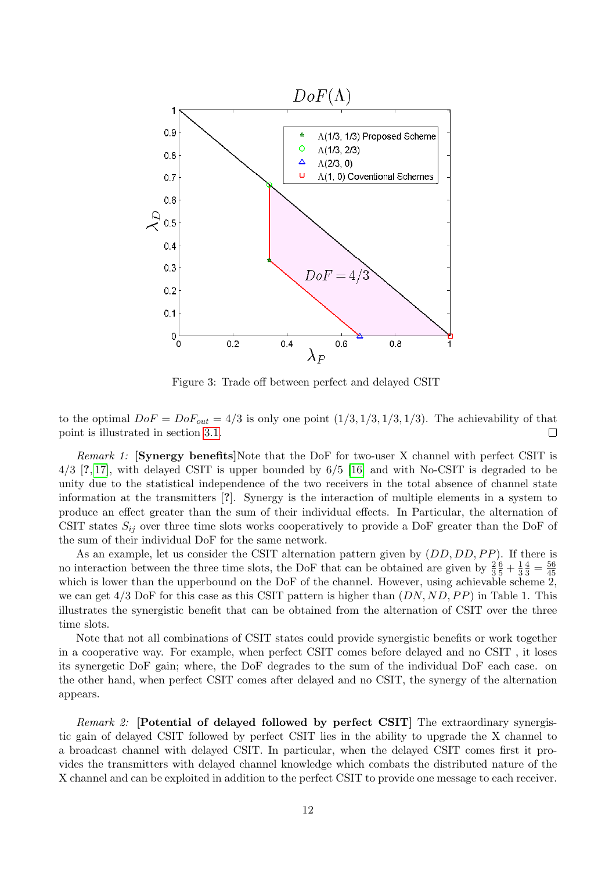

Figure 3: Trade off between perfect and delayed CSIT

to the optimal  $DoF = DoF_{out} = 4/3$  is only one point  $(1/3, 1/3, 1/3, 1/3)$ . The achievability of that point is illustrated in section [3.1.](#page-4-2)  $\Box$ 

Remark 1: [Synergy benefits]Note that the DoF for two-user X channel with perfect CSIT is 4/3 [?, [17\]](#page-29-10), with delayed CSIT is upper bounded by 6/5 [\[16\]](#page-29-9) and with No-CSIT is degraded to be unity due to the statistical independence of the two receivers in the total absence of channel state information at the transmitters [?]. Synergy is the interaction of multiple elements in a system to produce an effect greater than the sum of their individual effects. In Particular, the alternation of CSIT states  $S_{ij}$  over three time slots works cooperatively to provide a DoF greater than the DoF of the sum of their individual DoF for the same network.

As an example, let us consider the CSIT alternation pattern given by  $(DD, DD, PP)$ . If there is no interaction between the three time slots, the DoF that can be obtained are given by  $\frac{2}{3}$  $\frac{6}{5} + \frac{1}{3}$ 3  $\frac{4}{3} = \frac{56}{45}$ 45 which is lower than the upperbound on the DoF of the channel. However, using achievable scheme 2, we can get  $4/3$  DoF for this case as this CSIT pattern is higher than  $(DN, ND, PP)$  in Table 1. This illustrates the synergistic benefit that can be obtained from the alternation of CSIT over the three time slots.

Note that not all combinations of CSIT states could provide synergistic benefits or work together in a cooperative way. For example, when perfect CSIT comes before delayed and no CSIT , it loses its synergetic DoF gain; where, the DoF degrades to the sum of the individual DoF each case. on the other hand, when perfect CSIT comes after delayed and no CSIT, the synergy of the alternation appears.

Remark 2: [Potential of delayed followed by perfect CSIT] The extraordinary synergistic gain of delayed CSIT followed by perfect CSIT lies in the ability to upgrade the X channel to a broadcast channel with delayed CSIT. In particular, when the delayed CSIT comes first it provides the transmitters with delayed channel knowledge which combats the distributed nature of the X channel and can be exploited in addition to the perfect CSIT to provide one message to each receiver.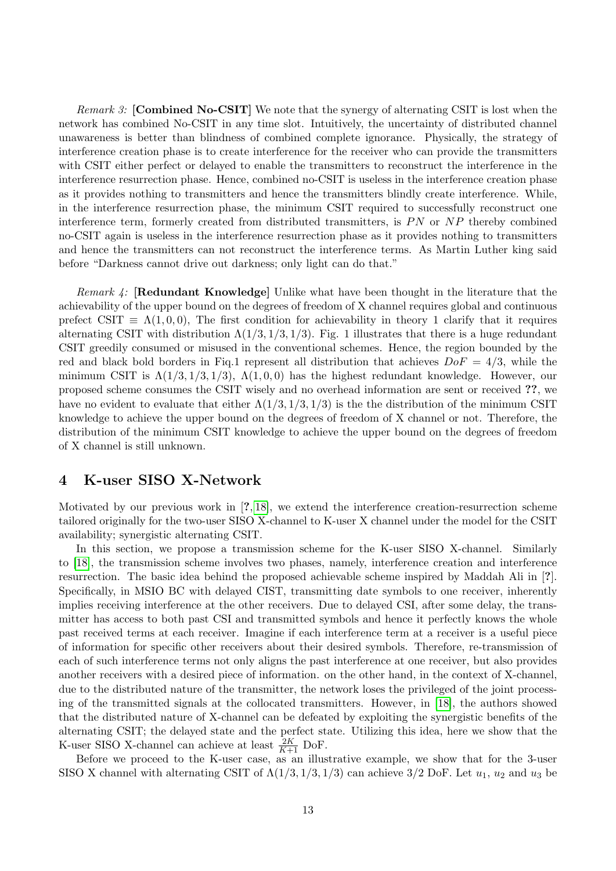*Remark 3:* [Combined No-CSIT] We note that the synergy of alternating CSIT is lost when the network has combined No-CSIT in any time slot. Intuitively, the uncertainty of distributed channel unawareness is better than blindness of combined complete ignorance. Physically, the strategy of interference creation phase is to create interference for the receiver who can provide the transmitters with CSIT either perfect or delayed to enable the transmitters to reconstruct the interference in the interference resurrection phase. Hence, combined no-CSIT is useless in the interference creation phase as it provides nothing to transmitters and hence the transmitters blindly create interference. While, in the interference resurrection phase, the minimum CSIT required to successfully reconstruct one interference term, formerly created from distributed transmitters, is  $PN$  or  $NP$  thereby combined no-CSIT again is useless in the interference resurrection phase as it provides nothing to transmitters and hence the transmitters can not reconstruct the interference terms. As Martin Luther king said before "Darkness cannot drive out darkness; only light can do that."

Remark 4: [Redundant Knowledge] Unlike what have been thought in the literature that the achievability of the upper bound on the degrees of freedom of X channel requires global and continuous prefect CSIT  $\equiv \Lambda(1, 0, 0)$ , The first condition for achievability in theory 1 clarify that it requires alternating CSIT with distribution  $\Lambda(1/3, 1/3, 1/3)$ . Fig. 1 illustrates that there is a huge redundant CSIT greedily consumed or misused in the conventional schemes. Hence, the region bounded by the red and black bold borders in Fig.1 represent all distribution that achieves  $DoF = 4/3$ , while the minimum CSIT is  $\Lambda(1/3, 1/3, 1/3)$ ,  $\Lambda(1, 0, 0)$  has the highest redundant knowledge. However, our proposed scheme consumes the CSIT wisely and no overhead information are sent or received ??, we have no evident to evaluate that either  $\Lambda(1/3, 1/3, 1/3)$  is the the distribution of the minimum CSIT knowledge to achieve the upper bound on the degrees of freedom of X channel or not. Therefore, the distribution of the minimum CSIT knowledge to achieve the upper bound on the degrees of freedom of X channel is still unknown.

# 4 K-user SISO X-Network

Motivated by our previous work in [?, [18\]](#page-29-11), we extend the interference creation-resurrection scheme tailored originally for the two-user SISO X-channel to K-user X channel under the model for the CSIT availability; synergistic alternating CSIT.

In this section, we propose a transmission scheme for the K-user SISO X-channel. Similarly to [\[18\]](#page-29-11), the transmission scheme involves two phases, namely, interference creation and interference resurrection. The basic idea behind the proposed achievable scheme inspired by Maddah Ali in [?]. Specifically, in MSIO BC with delayed CIST, transmitting date symbols to one receiver, inherently implies receiving interference at the other receivers. Due to delayed CSI, after some delay, the transmitter has access to both past CSI and transmitted symbols and hence it perfectly knows the whole past received terms at each receiver. Imagine if each interference term at a receiver is a useful piece of information for specific other receivers about their desired symbols. Therefore, re-transmission of each of such interference terms not only aligns the past interference at one receiver, but also provides another receivers with a desired piece of information. on the other hand, in the context of X-channel, due to the distributed nature of the transmitter, the network loses the privileged of the joint processing of the transmitted signals at the collocated transmitters. However, in [\[18\]](#page-29-11), the authors showed that the distributed nature of X-channel can be defeated by exploiting the synergistic benefits of the alternating CSIT; the delayed state and the perfect state. Utilizing this idea, here we show that the K-user SISO X-channel can achieve at least  $\frac{2K}{K+1}$  DoF.

Before we proceed to the K-user case, as an illustrative example, we show that for the 3-user SISO X channel with alternating CSIT of  $\Lambda(1/3, 1/3, 1/3)$  can achieve 3/2 DoF. Let  $u_1, u_2$  and  $u_3$  be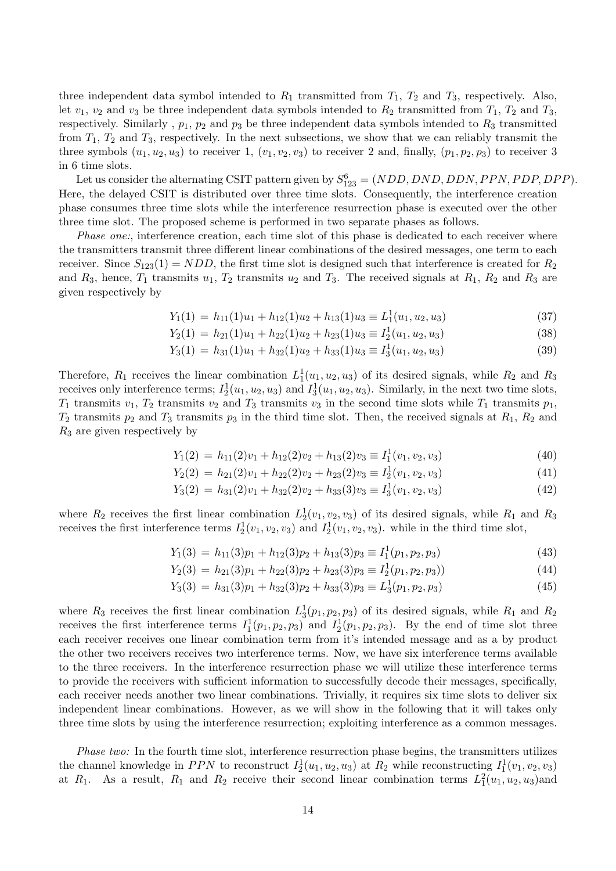three independent data symbol intended to  $R_1$  transmitted from  $T_1$ ,  $T_2$  and  $T_3$ , respectively. Also, let  $v_1$ ,  $v_2$  and  $v_3$  be three independent data symbols intended to  $R_2$  transmitted from  $T_1$ ,  $T_2$  and  $T_3$ , respectively. Similarly,  $p_1$ ,  $p_2$  and  $p_3$  be three independent data symbols intended to  $R_3$  transmitted from  $T_1$ ,  $T_2$  and  $T_3$ , respectively. In the next subsections, we show that we can reliably transmit the three symbols  $(u_1, u_2, u_3)$  to receiver 1,  $(v_1, v_2, v_3)$  to receiver 2 and, finally,  $(p_1, p_2, p_3)$  to receiver 3 in 6 time slots.

Let us consider the alternating CSIT pattern given by  $S_{123}^6 = (NDD, DND, DDN, PPN, PDP, DPP)$ . Here, the delayed CSIT is distributed over three time slots. Consequently, the interference creation phase consumes three time slots while the interference resurrection phase is executed over the other three time slot. The proposed scheme is performed in two separate phases as follows.

Phase one:, interference creation, each time slot of this phase is dedicated to each receiver where the transmitters transmit three different linear combinations of the desired messages, one term to each receiver. Since  $S_{123}(1) = NDD$ , the first time slot is designed such that interference is created for  $R_2$ and  $R_3$ , hence,  $T_1$  transmits  $u_1$ ,  $T_2$  transmits  $u_2$  and  $T_3$ . The received signals at  $R_1$ ,  $R_2$  and  $R_3$  are given respectively by

$$
Y_1(1) = h_{11}(1)u_1 + h_{12}(1)u_2 + h_{13}(1)u_3 \equiv L_1^1(u_1, u_2, u_3)
$$
\n(37)

$$
Y_2(1) = h_{21}(1)u_1 + h_{22}(1)u_2 + h_{23}(1)u_3 \equiv I_2^1(u_1, u_2, u_3)
$$
\n(38)

$$
Y_3(1) = h_{31}(1)u_1 + h_{32}(1)u_2 + h_{33}(1)u_3 \equiv I_3^1(u_1, u_2, u_3)
$$
\n(39)

Therefore,  $R_1$  receives the linear combination  $L_1^1(u_1, u_2, u_3)$  of its desired signals, while  $R_2$  and  $R_3$ receives only interference terms;  $I_2^1(u_1, u_2, u_3)$  and  $I_3^1(u_1, u_2, u_3)$ . Similarly, in the next two time slots,  $T_1$  transmits  $v_1$ ,  $T_2$  transmits  $v_2$  and  $T_3$  transmits  $v_3$  in the second time slots while  $T_1$  transmits  $p_1$ ,  $T_2$  transmits  $p_2$  and  $T_3$  transmits  $p_3$  in the third time slot. Then, the received signals at  $R_1$ ,  $R_2$  and  $R_3$  are given respectively by

$$
Y_1(2) = h_{11}(2)v_1 + h_{12}(2)v_2 + h_{13}(2)v_3 \equiv I_1^1(v_1, v_2, v_3)
$$
\n
$$
(40)
$$

$$
Y_2(2) = h_{21}(2)v_1 + h_{22}(2)v_2 + h_{23}(2)v_3 \equiv I_2^1(v_1, v_2, v_3)
$$
\n(41)

$$
Y_3(2) = h_{31}(2)v_1 + h_{32}(2)v_2 + h_{33}(3)v_3 \equiv I_3^1(v_1, v_2, v_3)
$$
\n(42)

where  $R_2$  receives the first linear combination  $L_2^1(v_1, v_2, v_3)$  of its desired signals, while  $R_1$  and  $R_3$ receives the first interference terms  $I_2^1(v_1, v_2, v_3)$  and  $I_2^1(v_1, v_2, v_3)$ . while in the third time slot,

$$
Y_1(3) = h_{11}(3)p_1 + h_{12}(3)p_2 + h_{13}(3)p_3 \equiv I_1^1(p_1, p_2, p_3)
$$
\n(43)

$$
Y_2(3) = h_{21}(3)p_1 + h_{22}(3)p_2 + h_{23}(3)p_3 \equiv I_2^1(p_1, p_2, p_3)
$$
\n(44)

$$
Y_3(3) = h_{31}(3)p_1 + h_{32}(3)p_2 + h_{33}(3)p_3 \equiv L_3^1(p_1, p_2, p_3)
$$
\n(45)

where  $R_3$  receives the first linear combination  $L_3^1(p_1, p_2, p_3)$  of its desired signals, while  $R_1$  and  $R_2$ receives the first interference terms  $I_1^1(p_1, p_2, p_3)$  and  $I_2^1(p_1, p_2, p_3)$ . By the end of time slot three each receiver receives one linear combination term from it's intended message and as a by product the other two receivers receives two interference terms. Now, we have six interference terms available to the three receivers. In the interference resurrection phase we will utilize these interference terms to provide the receivers with sufficient information to successfully decode their messages, specifically, each receiver needs another two linear combinations. Trivially, it requires six time slots to deliver six independent linear combinations. However, as we will show in the following that it will takes only three time slots by using the interference resurrection; exploiting interference as a common messages.

Phase two: In the fourth time slot, interference resurrection phase begins, the transmitters utilizes the channel knowledge in PPN to reconstruct  $I_2^1(u_1, u_2, u_3)$  at  $R_2$  while reconstructing  $I_1^1(v_1, v_2, v_3)$ at R<sub>1</sub>. As a result, R<sub>1</sub> and R<sub>2</sub> receive their second linear combination terms  $L_1^2(u_1, u_2, u_3)$  and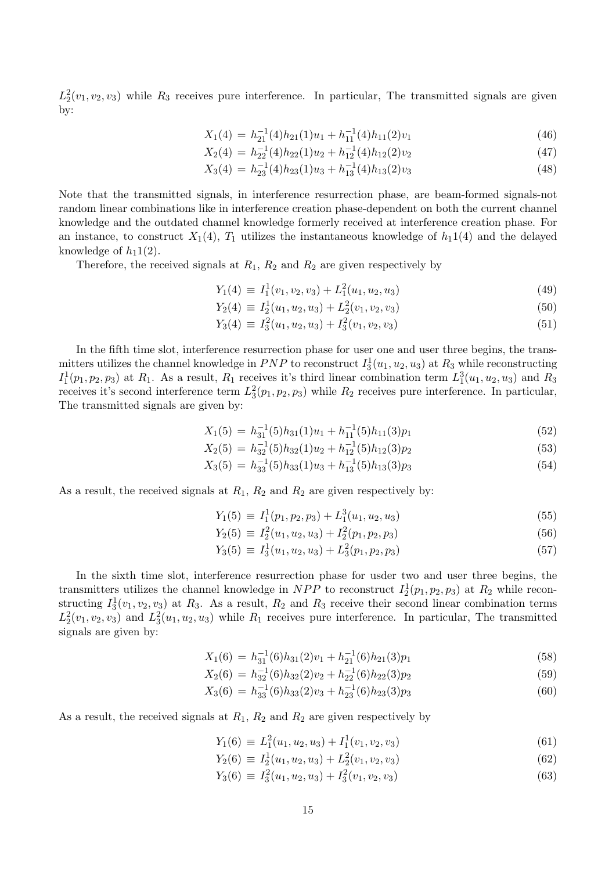$L_2^2(v_1, v_2, v_3)$  while  $R_3$  receives pure interference. In particular, The transmitted signals are given by:

$$
X_1(4) = h_{21}^{-1}(4)h_{21}(1)u_1 + h_{11}^{-1}(4)h_{11}(2)v_1
$$
\n(46)

$$
X_2(4) = h_{22}^{-1}(4)h_{22}(1)u_2 + h_{12}^{-1}(4)h_{12}(2)v_2
$$
\n(47)

$$
X_3(4) = h_{23}^{-1}(4)h_{23}(1)u_3 + h_{13}^{-1}(4)h_{13}(2)v_3
$$
\n(48)

Note that the transmitted signals, in interference resurrection phase, are beam-formed signals-not random linear combinations like in interference creation phase-dependent on both the current channel knowledge and the outdated channel knowledge formerly received at interference creation phase. For an instance, to construct  $X_1(4)$ ,  $T_1$  utilizes the instantaneous knowledge of  $h_1(4)$  and the delayed knowledge of  $h_11(2)$ .

Therefore, the received signals at  $R_1$ ,  $R_2$  and  $R_2$  are given respectively by

$$
Y_1(4) \equiv I_1^1(v_1, v_2, v_3) + L_1^2(u_1, u_2, u_3) \tag{49}
$$

$$
Y_2(4) \equiv I_2^1(u_1, u_2, u_3) + L_2^2(v_1, v_2, v_3) \tag{50}
$$

$$
Y_3(4) \equiv I_3^2(u_1, u_2, u_3) + I_3^2(v_1, v_2, v_3) \tag{51}
$$

In the fifth time slot, interference resurrection phase for user one and user three begins, the transmitters utilizes the channel knowledge in  $PNP$  to reconstruct  $I_3^1(u_1, u_2, u_3)$  at  $R_3$  while reconstructing  $I_1^1(p_1, p_2, p_3)$  at  $R_1$ . As a result,  $R_1$  receives it's third linear combination term  $L_1^3(u_1, u_2, u_3)$  and  $R_3$ receives it's second interference term  $L_3^2(p_1, p_2, p_3)$  while  $R_2$  receives pure interference. In particular, The transmitted signals are given by:

$$
X_1(5) = h_{31}^{-1}(5)h_{31}(1)u_1 + h_{11}^{-1}(5)h_{11}(3)p_1
$$
\n(52)

$$
X_2(5) = h_{32}^{-1}(5)h_{32}(1)u_2 + h_{12}^{-1}(5)h_{12}(3)p_2
$$
\n(53)

$$
X_3(5) = h_{33}^{-1}(5)h_{33}(1)u_3 + h_{13}^{-1}(5)h_{13}(3)p_3
$$
\n(54)

As a result, the received signals at  $R_1$ ,  $R_2$  and  $R_2$  are given respectively by:

$$
Y_1(5) \equiv I_1^1(p_1, p_2, p_3) + L_1^3(u_1, u_2, u_3) \tag{55}
$$

$$
Y_2(5) \equiv I_2^2(u_1, u_2, u_3) + I_2^2(p_1, p_2, p_3) \tag{56}
$$

$$
Y_3(5) \equiv I_3^1(u_1, u_2, u_3) + L_3^2(p_1, p_2, p_3) \tag{57}
$$

In the sixth time slot, interference resurrection phase for usder two and user three begins, the transmitters utilizes the channel knowledge in  $NPP$  to reconstruct  $I_2^1(p_1, p_2, p_3)$  at  $R_2$  while reconstructing  $I_3^1(v_1, v_2, v_3)$  at  $R_3$ . As a result,  $R_2$  and  $R_3$  receive their second linear combination terms  $L_2^2(v_1, v_2, v_3)$  and  $L_3^2(u_1, u_2, u_3)$  while  $R_1$  receives pure interference. In particular, The transmitted signals are given by:

$$
X_1(6) = h_{31}^{-1}(6)h_{31}(2)v_1 + h_{21}^{-1}(6)h_{21}(3)p_1
$$
\n(58)

$$
X_2(6) = h_{32}^{-1}(6)h_{32}(2)v_2 + h_{22}^{-1}(6)h_{22}(3)p_2
$$
\n(59)

$$
X_3(6) = h_{33}^{-1}(6)h_{33}(2)v_3 + h_{23}^{-1}(6)h_{23}(3)p_3
$$
\n(60)

As a result, the received signals at  $R_1$ ,  $R_2$  and  $R_2$  are given respectively by

$$
Y_1(6) \equiv L_1^2(u_1, u_2, u_3) + I_1^1(v_1, v_2, v_3) \tag{61}
$$

$$
Y_2(6) \equiv I_2^1(u_1, u_2, u_3) + L_2^2(v_1, v_2, v_3) \tag{62}
$$

$$
Y_3(6) \equiv I_3^2(u_1, u_2, u_3) + I_3^2(v_1, v_2, v_3) \tag{63}
$$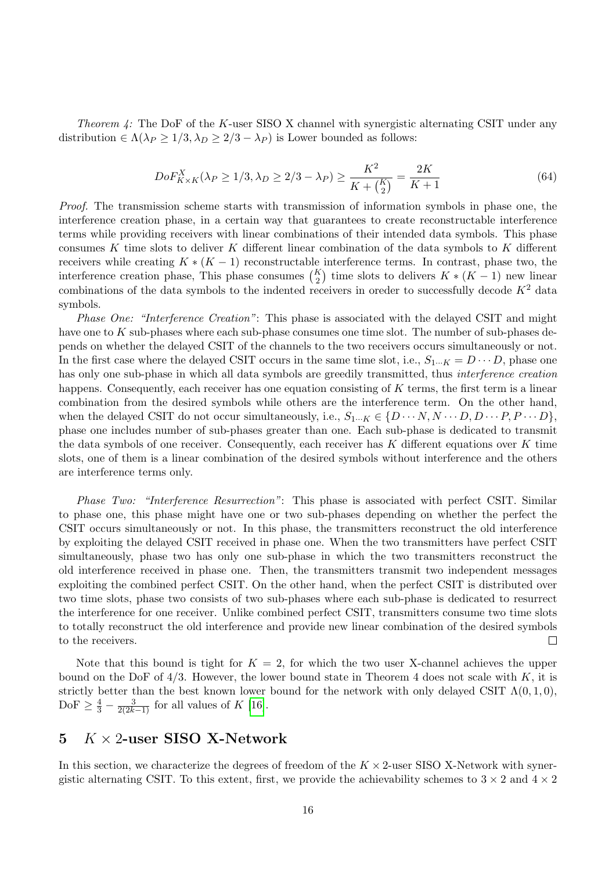Theorem  $4$ : The DoF of the K-user SISO X channel with synergistic alternating CSIT under any distribution  $\in \Lambda(\lambda_P \geq 1/3, \lambda_D \geq 2/3 - \lambda_P)$  is Lower bounded as follows:

$$
DoF_{K\times K}^{X}(\lambda_P \ge 1/3, \lambda_D \ge 2/3 - \lambda_P) \ge \frac{K^2}{K + {K \choose 2}} = \frac{2K}{K+1}
$$
(64)

Proof. The transmission scheme starts with transmission of information symbols in phase one, the interference creation phase, in a certain way that guarantees to create reconstructable interference terms while providing receivers with linear combinations of their intended data symbols. This phase consumes K time slots to deliver K different linear combination of the data symbols to K different receivers while creating  $K*(K-1)$  reconstructable interference terms. In contrast, phase two, the interference creation phase, This phase consumes  $\binom{K}{2}$  time slots to delivers  $K*(K-1)$  new linear combinations of the data symbols to the indented receivers in oreder to successfully decode  $K^2$  data symbols.

Phase One: "Interference Creation": This phase is associated with the delayed CSIT and might have one to K sub-phases where each sub-phase consumes one time slot. The number of sub-phases depends on whether the delayed CSIT of the channels to the two receivers occurs simultaneously or not. In the first case where the delayed CSIT occurs in the same time slot, i.e.,  $S_{1\cdots K} = D \cdots D$ , phase one has only one sub-phase in which all data symbols are greedily transmitted, thus interference creation happens. Consequently, each receiver has one equation consisting of  $K$  terms, the first term is a linear combination from the desired symbols while others are the interference term. On the other hand, when the delayed CSIT do not occur simultaneously, i.e.,  $S_{1\cdots K} \in \{D \cdots N, N \cdots D, D \cdots P, P \cdots D\},\$ phase one includes number of sub-phases greater than one. Each sub-phase is dedicated to transmit the data symbols of one receiver. Consequently, each receiver has  $K$  different equations over  $K$  time slots, one of them is a linear combination of the desired symbols without interference and the others are interference terms only.

Phase Two: "Interference Resurrection": This phase is associated with perfect CSIT. Similar to phase one, this phase might have one or two sub-phases depending on whether the perfect the CSIT occurs simultaneously or not. In this phase, the transmitters reconstruct the old interference by exploiting the delayed CSIT received in phase one. When the two transmitters have perfect CSIT simultaneously, phase two has only one sub-phase in which the two transmitters reconstruct the old interference received in phase one. Then, the transmitters transmit two independent messages exploiting the combined perfect CSIT. On the other hand, when the perfect CSIT is distributed over two time slots, phase two consists of two sub-phases where each sub-phase is dedicated to resurrect the interference for one receiver. Unlike combined perfect CSIT, transmitters consume two time slots to totally reconstruct the old interference and provide new linear combination of the desired symbols to the receivers.  $\Box$ 

Note that this bound is tight for  $K = 2$ , for which the two user X-channel achieves the upper bound on the DoF of  $4/3$ . However, the lower bound state in Theorem 4 does not scale with K, it is strictly better than the best known lower bound for the network with only delayed CSIT  $\Lambda(0,1,0)$ ,  $DoF \geq \frac{4}{3} - \frac{3}{2(2k-1)}$  for all values of K [\[16\]](#page-29-9).

### 5  $K \times 2$ -user SISO X-Network

In this section, we characterize the degrees of freedom of the  $K \times 2$ -user SISO X-Network with synergistic alternating CSIT. To this extent, first, we provide the achievability schemes to  $3 \times 2$  and  $4 \times 2$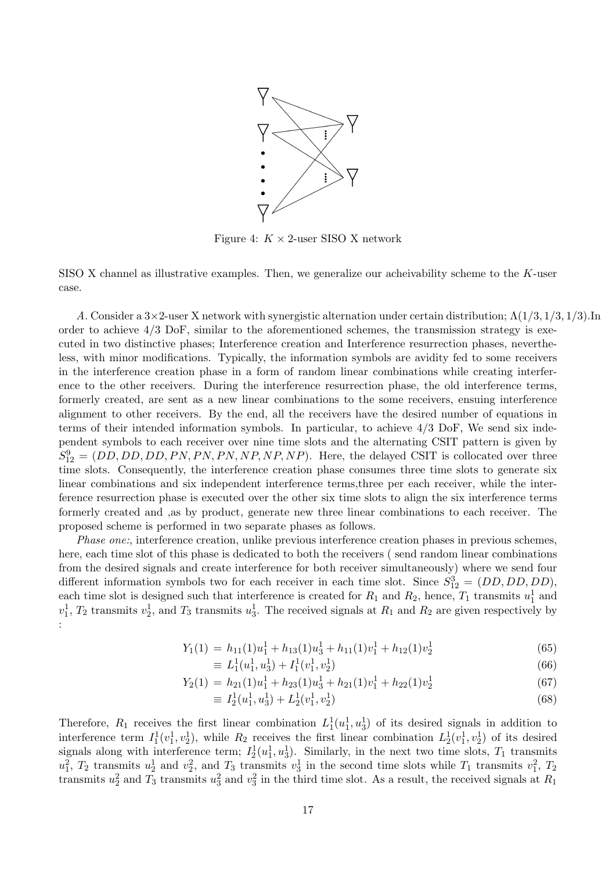

Figure 4:  $K \times 2$ -user SISO X network

SISO X channel as illustrative examples. Then, we generalize our acheivability scheme to the  $K$ -user case.

A. Consider a 3×2-user X network with synergistic alternation under certain distribution; Λ(1/3, 1/3, 1/3).In order to achieve  $4/3$  DoF, similar to the aforementioned schemes, the transmission strategy is executed in two distinctive phases; Interference creation and Interference resurrection phases, nevertheless, with minor modifications. Typically, the information symbols are avidity fed to some receivers in the interference creation phase in a form of random linear combinations while creating interference to the other receivers. During the interference resurrection phase, the old interference terms, formerly created, are sent as a new linear combinations to the some receivers, ensuing interference alignment to other receivers. By the end, all the receivers have the desired number of equations in terms of their intended information symbols. In particular, to achieve 4/3 DoF, We send six independent symbols to each receiver over nine time slots and the alternating CSIT pattern is given by  $S_{12}^9 = (DD, DD, DD, PN, PN, NN, NP, NP, NP)$ . Here, the delayed CSIT is collocated over three time slots. Consequently, the interference creation phase consumes three time slots to generate six linear combinations and six independent interference terms,three per each receiver, while the interference resurrection phase is executed over the other six time slots to align the six interference terms formerly created and ,as by product, generate new three linear combinations to each receiver. The proposed scheme is performed in two separate phases as follows.

Phase one:, interference creation, unlike previous interference creation phases in previous schemes, here, each time slot of this phase is dedicated to both the receivers ( send random linear combinations from the desired signals and create interference for both receiver simultaneously) where we send four different information symbols two for each receiver in each time slot. Since  $S_{12}^3 = (DD, DD, DD)$ , each time slot is designed such that interference is created for  $R_1$  and  $R_2$ , hence,  $T_1$  transmits  $u_1^1$  and  $v_1^1, T_2$  transmits  $v_2^1$ , and  $T_3$  transmits  $u_3^1$ . The received signals at  $R_1$  and  $R_2$  are given respectively by :

$$
Y_1(1) = h_{11}(1)u_1^1 + h_{13}(1)u_3^1 + h_{11}(1)v_1^1 + h_{12}(1)v_2^1
$$
\n(65)

$$
\equiv L_1^1(u_1^1, u_3^1) + I_1^1(v_1^1, v_2^1) \tag{66}
$$

$$
Y_2(1) = h_{21}(1)u_1^1 + h_{23}(1)u_3^1 + h_{21}(1)v_1^1 + h_{22}(1)v_2^1
$$
\n(67)

$$
\equiv I_2^1(u_1^1, u_3^1) + L_2^1(v_1^1, v_2^1) \tag{68}
$$

Therefore,  $R_1$  receives the first linear combination  $L_1^1(u_1^1, u_3^1)$  of its desired signals in addition to interference term  $I_1^1(v_1^1, v_2^1)$ , while  $R_2$  receives the first linear combination  $L_2^1(v_1^1, v_2^1)$  of its desired signals along with interference term;  $I_2^1(u_1^1, u_3^1)$ . Similarly, in the next two time slots,  $T_1$  transmits  $u_1^2$ ,  $T_2$  transmits  $u_2^1$  and  $v_2^2$ , and  $T_3$  transmits  $v_3^1$  in the second time slots while  $T_1$  transmits  $v_1^2$ ,  $T_2$ transmits  $u_2^2$  and  $T_3$  transmits  $u_3^2$  and  $v_3^2$  in the third time slot. As a result, the received signals at  $R_1$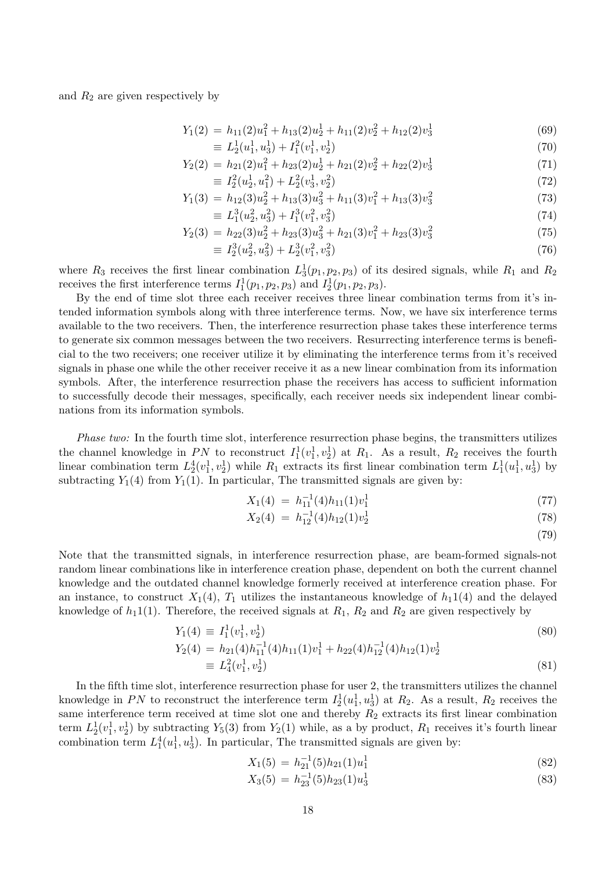and  $R_2$  are given respectively by

$$
Y_1(2) = h_{11}(2)u_1^2 + h_{13}(2)u_2^1 + h_{11}(2)v_2^2 + h_{12}(2)v_3^1
$$
\n(69)

$$
\equiv L_2^1(u_1^1, u_3^1) + I_1^2(v_1^1, v_2^1) \tag{70}
$$

$$
Y_2(2) = h_{21}(2)u_1^2 + h_{23}(2)u_2^1 + h_{21}(2)v_2^2 + h_{22}(2)v_3^1
$$
\n(71)

$$
\equiv I_2^2(u_2^1, u_1^2) + L_2^2(v_3^1, v_2^2) \tag{72}
$$

$$
Y_1(3) = h_{12}(3)u_2^2 + h_{13}(3)u_3^2 + h_{11}(3)v_1^2 + h_{13}(3)v_3^2
$$
\n
$$
- I^{3}(u_2^2 - u_1^2) + I^{3}(u_2^2 - u_2^2)
$$
\n(73)

$$
\equiv L_1^3(u_2^2, u_3^2) + I_1^3(v_1^2, v_3^2) \tag{74}
$$
\n
$$
V_2(3) = h_{22}(3)u_2^2 + h_{22}(3)u_3^2 + h_{23}(3)v_3^2 + h_{23}(3)v_3^2 \tag{75}
$$

$$
Y_2(3) = h_{22}(3)u_2^2 + h_{23}(3)u_3^2 + h_{21}(3)v_1^2 + h_{23}(3)v_3^2
$$
  
\n
$$
\equiv I_2^3(u_2^2, u_3^2) + L_2^3(v_1^2, v_3^2)
$$
\n(76)

$$
I_2^3(u_2^2, u_3^2) + L_2^3(v_1^2, v_3^2) \tag{76}
$$

where  $R_3$  receives the first linear combination  $L_3^1(p_1, p_2, p_3)$  of its desired signals, while  $R_1$  and  $R_2$ receives the first interference terms  $I_1^1(p_1, p_2, p_3)$  and  $I_2^1(p_1, p_2, p_3)$ .

By the end of time slot three each receiver receives three linear combination terms from it's intended information symbols along with three interference terms. Now, we have six interference terms available to the two receivers. Then, the interference resurrection phase takes these interference terms to generate six common messages between the two receivers. Resurrecting interference terms is beneficial to the two receivers; one receiver utilize it by eliminating the interference terms from it's received signals in phase one while the other receiver receive it as a new linear combination from its information symbols. After, the interference resurrection phase the receivers has access to sufficient information to successfully decode their messages, specifically, each receiver needs six independent linear combinations from its information symbols.

Phase two: In the fourth time slot, interference resurrection phase begins, the transmitters utilizes the channel knowledge in PN to reconstruct  $I_1^1(v_1^1, v_2^1)$  at  $R_1$ . As a result,  $R_2$  receives the fourth linear combination term  $L_2^4(v_1^1, v_2^1)$  while  $R_1$  extracts its first linear combination term  $L_1^1(u_1^1, u_3^1)$  by subtracting  $Y_1(4)$  from  $Y_1(1)$ . In particular, The transmitted signals are given by:

$$
X_1(4) = h_{11}^{-1}(4)h_{11}(1)v_1^1 \tag{77}
$$

$$
X_2(4) = h_{12}^{-1}(4)h_{12}(1)v_2^1 \tag{78}
$$

(79)

Note that the transmitted signals, in interference resurrection phase, are beam-formed signals-not random linear combinations like in interference creation phase, dependent on both the current channel knowledge and the outdated channel knowledge formerly received at interference creation phase. For an instance, to construct  $X_1(4)$ ,  $T_1$  utilizes the instantaneous knowledge of  $h_1(4)$  and the delayed knowledge of  $h_1(1)$ . Therefore, the received signals at  $R_1$ ,  $R_2$  and  $R_2$  are given respectively by

$$
Y_1(4) \equiv I_1^1(v_1^1, v_2^1)
$$
  
\n
$$
Y_2(4) = h_{21}(4)h_{11}^{-1}(4)h_{11}(1)v_1^1 + h_{22}(4)h_{12}^{-1}(4)h_{12}(1)v_2^1
$$
  
\n
$$
\equiv L_4^2(v_1^1, v_2^1)
$$
\n(81)

In the fifth time slot, interference resurrection phase for user 2, the transmitters utilizes the channel knowledge in PN to reconstruct the interference term  $I_2^1(u_1^1, u_3^1)$  at  $R_2$ . As a result,  $R_2$  receives the same interference term received at time slot one and thereby  $R_2$  extracts its first linear combination term  $L_2^1(v_1^1, v_2^1)$  by subtracting  $Y_5(3)$  from  $Y_2(1)$  while, as a by product,  $R_1$  receives it's fourth linear combination term  $L_1^4(u_1^1, u_3^1)$ . In particular, The transmitted signals are given by:

$$
X_1(5) = h_{21}^{-1}(5)h_{21}(1)u_1^1
$$
\n(82)

$$
X_3(5) = h_{23}^{-1}(5)h_{23}(1)u_3^1
$$
\n(83)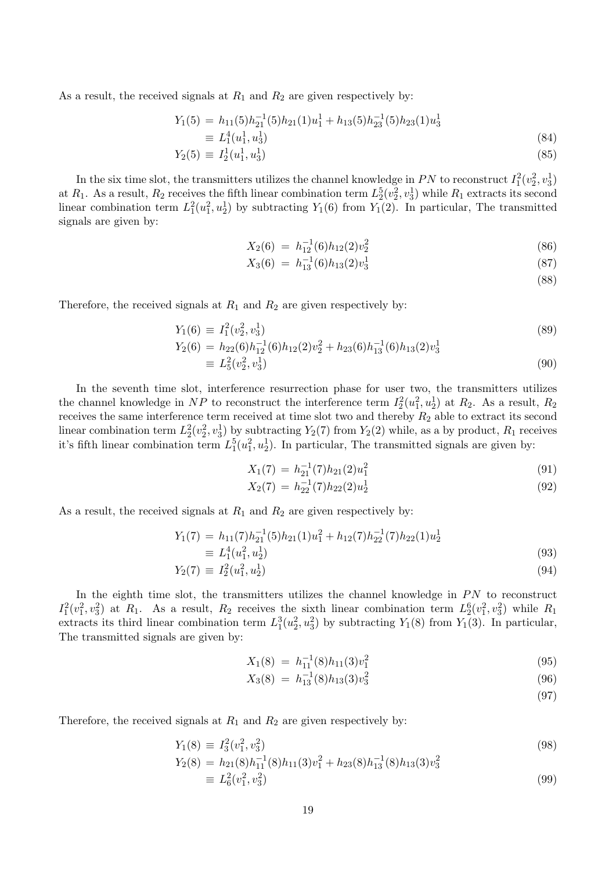As a result, the received signals at  $R_1$  and  $R_2$  are given respectively by:

$$
Y_1(5) = h_{11}(5)h_{21}^{-1}(5)h_{21}(1)u_1^1 + h_{13}(5)h_{23}^{-1}(5)h_{23}(1)u_3^1
$$
  
\n
$$
\equiv L_1^4(u_1^1, u_3^1)
$$
  
\n
$$
Y_2(5) = I_1^1(u_1^1, u_3^1)
$$
 (85)

$$
Y_2(5) \equiv I_2^1(u_1^1, u_3^1) \tag{85}
$$

In the six time slot, the transmitters utilizes the channel knowledge in  $PN$  to reconstruct  $I_1^2(v_2^2, v_3^1)$ at  $R_1$ . As a result,  $R_2$  receives the fifth linear combination term  $L_2^5(v_2^2, v_3^1)$  while  $R_1$  extracts its second linear combination term  $L_1^2(u_1^2, u_2^1)$  by subtracting  $Y_1(6)$  from  $Y_1(2)$ . In particular, The transmitted signals are given by:

$$
X_2(6) = h_{12}^{-1}(6)h_{12}(2)v_2^2 \tag{86}
$$

$$
X_3(6) = h_{13}^{-1}(6)h_{13}(2)v_3^1 \tag{87}
$$

(88)

Therefore, the received signals at  $R_1$  and  $R_2$  are given respectively by:

$$
Y_1(6) \equiv I_1^2(v_2^2, v_3^1) \tag{89}
$$

$$
Y_2(6) = h_{22}(6)h_{12}^{-1}(6)h_{12}(2)v_2^2 + h_{23}(6)h_{13}^{-1}(6)h_{13}(2)v_3^1
$$
  
\n
$$
\equiv L_5^2(v_2^2, v_3^1)
$$
\n(90)

In the seventh time slot, interference resurrection phase for user two, the transmitters utilizes the channel knowledge in NP to reconstruct the interference term  $I_2^2(u_1^2, u_2^1)$  at  $R_2$ . As a result,  $R_2$ receives the same interference term received at time slot two and thereby  $R_2$  able to extract its second linear combination term  $L_2^2(v_2^2, v_3^1)$  by subtracting  $Y_2(7)$  from  $Y_2(2)$  while, as a by product,  $R_1$  receives it's fifth linear combination term  $L_1^5(u_1^2, u_2^1)$ . In particular, The transmitted signals are given by:

$$
X_1(7) = h_{21}^{-1}(7)h_{21}(2)u_1^2
$$
\n(91)

$$
X_2(7) = h_{22}^{-1}(7)h_{22}(2)u_2^1 \tag{92}
$$

As a result, the received signals at  $R_1$  and  $R_2$  are given respectively by:

$$
Y_1(7) = h_{11}(7)h_{21}^{-1}(5)h_{21}(1)u_1^2 + h_{12}(7)h_{22}^{-1}(7)h_{22}(1)u_2^1
$$
  
\n
$$
\equiv L_1^4(u_1^2, u_2^1) \tag{93}
$$

$$
Y_2(7) \equiv I_2^2(u_1^2, u_2^1) \tag{94}
$$

In the eighth time slot, the transmitters utilizes the channel knowledge in  $PN$  to reconstruct  $I_1^2(v_1^2, v_3^2)$  at  $R_1$ . As a result,  $R_2$  receives the sixth linear combination term  $L_2^6(v_1^2, v_3^2)$  while  $R_1$ extracts its third linear combination term  $L_1^3(u_2^2, u_3^2)$  by subtracting  $Y_1(8)$  from  $Y_1(3)$ . In particular, The transmitted signals are given by:

$$
X_1(8) = h_{11}^{-1}(8)h_{11}(3)v_1^2
$$
\n(95)

$$
X_3(8) = h_{13}^{-1}(8)h_{13}(3)v_3^2 \tag{96}
$$

(97)

Therefore, the received signals at  $R_1$  and  $R_2$  are given respectively by:

$$
Y_1(8) \equiv I_3^2(v_1^2, v_3^2) \tag{98}
$$

$$
Y_2(8) = h_{21}(8)h_{11}^{-1}(8)h_{11}(3)v_1^2 + h_{23}(8)h_{13}^{-1}(8)h_{13}(3)v_3^2
$$
  
\n
$$
\equiv L_6^2(v_1^2, v_3^2)
$$
\n(99)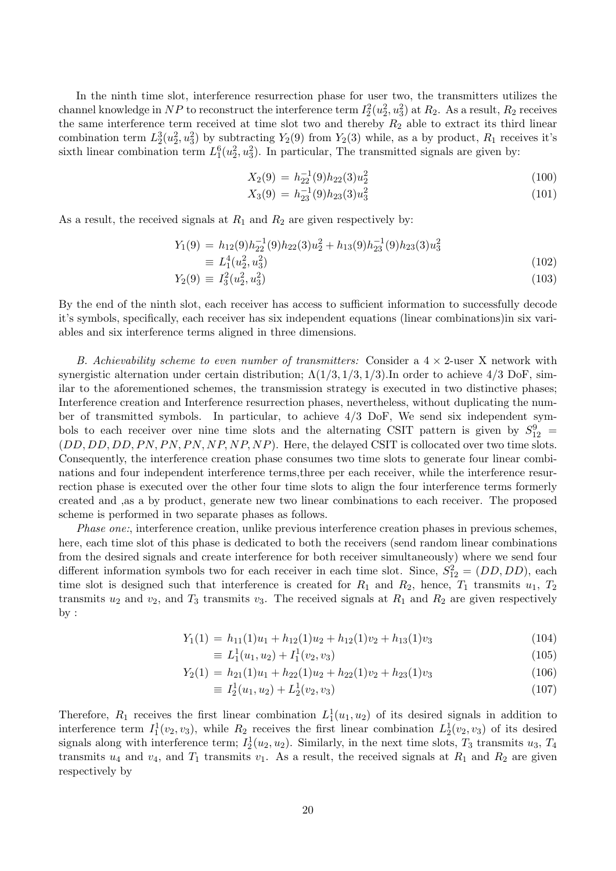In the ninth time slot, interference resurrection phase for user two, the transmitters utilizes the channel knowledge in NP to reconstruct the interference term  $I_2^2(u_2^2, u_3^2)$  at  $R_2$ . As a result,  $R_2$  receives the same interference term received at time slot two and thereby  $R_2$  able to extract its third linear combination term  $L_2^3(u_2^2, u_3^2)$  by subtracting  $Y_2(9)$  from  $Y_2(3)$  while, as a by product,  $R_1$  receives it's sixth linear combination term  $L_1^6(u_2^2, u_3^2)$ . In particular, The transmitted signals are given by:

$$
X_2(9) = h_{22}^{-1}(9)h_{22}(3)u_2^2
$$
\n(100)

$$
X_3(9) = h_{23}^{-1}(9)h_{23}(3)u_3^2
$$
\n(101)

As a result, the received signals at  $R_1$  and  $R_2$  are given respectively by:

$$
Y_1(9) = h_{12}(9)h_{22}^{-1}(9)h_{22}(3)u_2^2 + h_{13}(9)h_{23}^{-1}(9)h_{23}(3)u_3^2
$$
  
\n
$$
\equiv L_1^4(u_2^2, u_3^2)
$$
\n(102)

$$
Y_2(9) \equiv I_3^2(u_2^2, u_3^2) \tag{103}
$$

By the end of the ninth slot, each receiver has access to sufficient information to successfully decode it's symbols, specifically, each receiver has six independent equations (linear combinations)in six variables and six interference terms aligned in three dimensions.

B. Achievability scheme to even number of transmitters: Consider a  $4 \times 2$ -user X network with synergistic alternation under certain distribution;  $\Lambda(1/3, 1/3, 1/3)$ . In order to achieve  $4/3$  DoF, similar to the aforementioned schemes, the transmission strategy is executed in two distinctive phases; Interference creation and Interference resurrection phases, nevertheless, without duplicating the number of transmitted symbols. In particular, to achieve 4/3 DoF, We send six independent symbols to each receiver over nine time slots and the alternating CSIT pattern is given by  $S_{12}^9$  =  $(DD, DD, DD, PN, PN, PN, NP, NP, NP)$ . Here, the delayed CSIT is collocated over two time slots. Consequently, the interference creation phase consumes two time slots to generate four linear combinations and four independent interference terms,three per each receiver, while the interference resurrection phase is executed over the other four time slots to align the four interference terms formerly created and ,as a by product, generate new two linear combinations to each receiver. The proposed scheme is performed in two separate phases as follows.

Phase one:, interference creation, unlike previous interference creation phases in previous schemes, here, each time slot of this phase is dedicated to both the receivers (send random linear combinations from the desired signals and create interference for both receiver simultaneously) where we send four different information symbols two for each receiver in each time slot. Since,  $S_{12}^2 = (DD, DD)$ , each time slot is designed such that interference is created for  $R_1$  and  $R_2$ , hence,  $T_1$  transmits  $u_1$ ,  $T_2$ transmits  $u_2$  and  $v_2$ , and  $T_3$  transmits  $v_3$ . The received signals at  $R_1$  and  $R_2$  are given respectively by :

$$
Y_1(1) = h_{11}(1)u_1 + h_{12}(1)u_2 + h_{12}(1)v_2 + h_{13}(1)v_3
$$
\n(104)

$$
\equiv L_1^1(u_1, u_2) + I_1^1(v_2, v_3) \tag{105}
$$

$$
Y_2(1) = h_{21}(1)u_1 + h_{22}(1)u_2 + h_{22}(1)v_2 + h_{23}(1)v_3
$$
\n(106)

$$
\equiv I_2^1(u_1, u_2) + L_2^1(v_2, v_3) \tag{107}
$$

Therefore,  $R_1$  receives the first linear combination  $L_1^1(u_1, u_2)$  of its desired signals in addition to interference term  $I_1^1(v_2, v_3)$ , while  $R_2$  receives the first linear combination  $L_2^1(v_2, v_3)$  of its desired signals along with interference term;  $I_2^1(u_2, u_2)$ . Similarly, in the next time slots,  $T_3$  transmits  $u_3$ ,  $T_4$ transmits  $u_4$  and  $v_4$ , and  $T_1$  transmits  $v_1$ . As a result, the received signals at  $R_1$  and  $R_2$  are given respectively by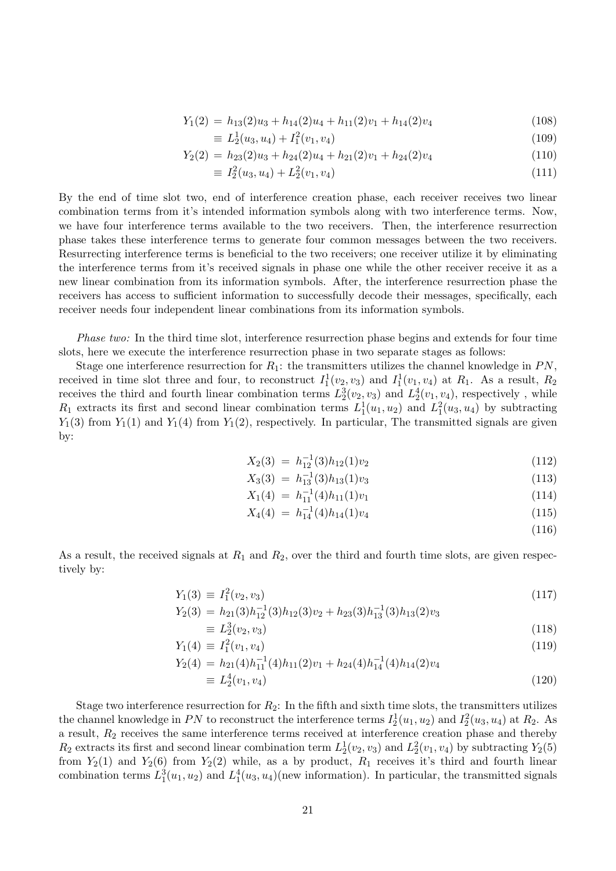$$
Y_1(2) = h_{13}(2)u_3 + h_{14}(2)u_4 + h_{11}(2)v_1 + h_{14}(2)v_4
$$
\n(108)

$$
\equiv L_2^1(u_3, u_4) + I_1^2(v_1, v_4) \tag{109}
$$

$$
Y_2(2) = h_{23}(2)u_3 + h_{24}(2)u_4 + h_{21}(2)v_1 + h_{24}(2)v_4
$$
\n(110)

$$
\equiv I_2^2(u_3, u_4) + L_2^2(v_1, v_4) \tag{111}
$$

By the end of time slot two, end of interference creation phase, each receiver receives two linear combination terms from it's intended information symbols along with two interference terms. Now, we have four interference terms available to the two receivers. Then, the interference resurrection phase takes these interference terms to generate four common messages between the two receivers. Resurrecting interference terms is beneficial to the two receivers; one receiver utilize it by eliminating the interference terms from it's received signals in phase one while the other receiver receive it as a new linear combination from its information symbols. After, the interference resurrection phase the receivers has access to sufficient information to successfully decode their messages, specifically, each receiver needs four independent linear combinations from its information symbols.

Phase two: In the third time slot, interference resurrection phase begins and extends for four time slots, here we execute the interference resurrection phase in two separate stages as follows:

Stage one interference resurrection for  $R_1$ : the transmitters utilizes the channel knowledge in PN, received in time slot three and four, to reconstruct  $I_1^1(v_2, v_3)$  and  $I_1^1(v_1, v_4)$  at  $R_1$ . As a result,  $R_2$ receives the third and fourth linear combination terms  $L_2^3(v_2, v_3)$  and  $L_2^4(v_1, v_4)$ , respectively, while  $R_1$  extracts its first and second linear combination terms  $L_1^1(u_1, u_2)$  and  $L_1^2(u_3, u_4)$  by subtracting  $Y_1(3)$  from  $Y_1(1)$  and  $Y_1(4)$  from  $Y_1(2)$ , respectively. In particular, The transmitted signals are given by:

$$
X_2(3) = h_{12}^{-1}(3)h_{12}(1)v_2 \tag{112}
$$

$$
X_3(3) = h_{13}^{-1}(3)h_{13}(1)v_3 \tag{113}
$$

$$
X_1(4) = h_{11}^{-1}(4)h_{11}(1)v_1 \tag{114}
$$

$$
X_4(4) = h_{14}^{-1}(4)h_{14}(1)v_4 \tag{115}
$$

(116)

As a result, the received signals at  $R_1$  and  $R_2$ , over the third and fourth time slots, are given respectively by:

$$
Y_1(3) \equiv I_1^2(v_2, v_3) \tag{117}
$$

$$
Y_2(3) = h_{21}(3)h_{12}^{-1}(3)h_{12}(3)v_2 + h_{23}(3)h_{13}^{-1}(3)h_{13}(2)v_3
$$
\n
$$
Y_2(3) = h_{21}(3)h_{12}(3)v_2 + h_{23}(3)h_{13}(2)v_3
$$
\n
$$
(3.10)
$$

$$
\equiv L_2^3(v_2, v_3) \tag{118}
$$
\n
$$
Y_1(4) \equiv I_1^2(v_1, v_4) \tag{119}
$$

$$
Y_2(4) = h_{21}(4)h_{11}^{-1}(4)h_{11}(2)v_1 + h_{24}(4)h_{14}^{-1}(4)h_{14}(2)v_4
$$
  
\n
$$
\equiv L_2^4(v_1, v_4)
$$
\n(120)

Stage two interference resurrection for  $R_2$ : In the fifth and sixth time slots, the transmitters utilizes the channel knowledge in PN to reconstruct the interference terms  $I_2^1(u_1, u_2)$  and  $I_2^2(u_3, u_4)$  at  $R_2$ . As a result,  $R_2$  receives the same interference terms received at interference creation phase and thereby  $R_2$  extracts its first and second linear combination term  $L_2^1(v_2, v_3)$  and  $L_2^2(v_1, v_4)$  by subtracting  $Y_2(5)$ from  $Y_2(1)$  and  $Y_2(6)$  from  $Y_2(2)$  while, as a by product,  $R_1$  receives it's third and fourth linear combination terms  $L_1^3(u_1, u_2)$  and  $L_1^4(u_3, u_4)$  (new information). In particular, the transmitted signals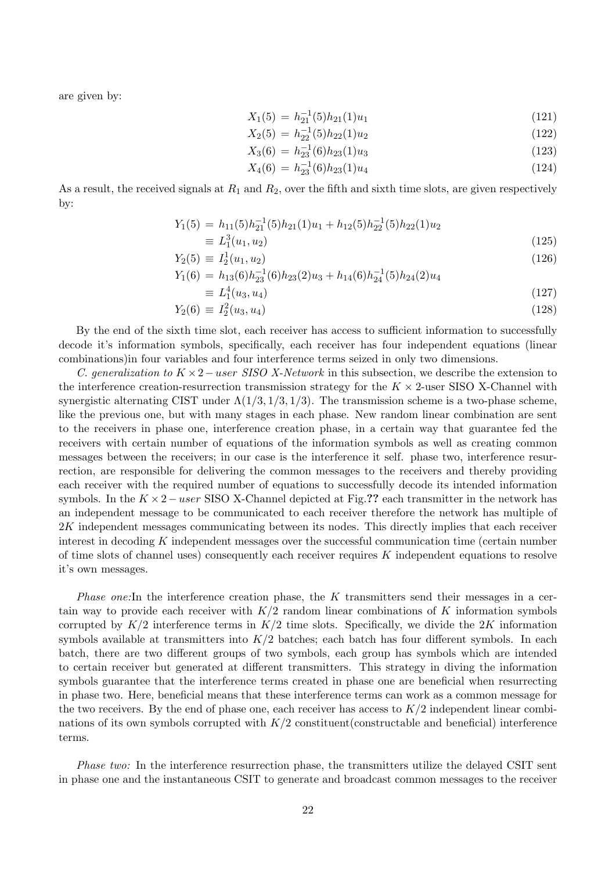are given by:

$$
X_1(5) = h_{21}^{-1}(5)h_{21}(1)u_1
$$
\n(121)

$$
X_2(5) = h_{22}^{-1}(5)h_{22}(1)u_2
$$
\n(122)

$$
X_3(6) = h_{23}^{-1}(6)h_{23}(1)u_3 \tag{123}
$$

$$
X_4(6) = h_{23}^{-1}(6)h_{23}(1)u_4
$$
\n(124)

As a result, the received signals at  $R_1$  and  $R_2$ , over the fifth and sixth time slots, are given respectively by:

$$
Y_1(5) = h_{11}(5)h_{21}^{-1}(5)h_{21}(1)u_1 + h_{12}(5)h_{22}^{-1}(5)h_{22}(1)u_2
$$
  
\n
$$
\equiv L_1^3(u_1, u_2)
$$
\n(125)

$$
Y_2(5) \equiv I_2^1(u_1, u_2) \tag{126}
$$

$$
Y_1(6) = h_{13}(6)h_{23}^{-1}(6)h_{23}(2)u_3 + h_{14}(6)h_{24}^{-1}(5)h_{24}(2)u_4
$$
  
- 
$$
I^4(u_2, u_1)
$$
 (127)

$$
\equiv L_1^4(u_3, u_4) \tag{127}
$$

$$
Y_2(6) \equiv I_2^2(u_3, u_4) \tag{128}
$$

By the end of the sixth time slot, each receiver has access to sufficient information to successfully decode it's information symbols, specifically, each receiver has four independent equations (linear combinations)in four variables and four interference terms seized in only two dimensions.

C. generalization to  $K \times 2$  – user SISO X-Network in this subsection, we describe the extension to the interference creation-resurrection transmission strategy for the  $K \times 2$ -user SISO X-Channel with synergistic alternating CIST under  $\Lambda(1/3, 1/3, 1/3)$ . The transmission scheme is a two-phase scheme, like the previous one, but with many stages in each phase. New random linear combination are sent to the receivers in phase one, interference creation phase, in a certain way that guarantee fed the receivers with certain number of equations of the information symbols as well as creating common messages between the receivers; in our case is the interference it self. phase two, interference resurrection, are responsible for delivering the common messages to the receivers and thereby providing each receiver with the required number of equations to successfully decode its intended information symbols. In the  $K \times 2-user$  SISO X-Channel depicted at Fig.?? each transmitter in the network has an independent message to be communicated to each receiver therefore the network has multiple of 2K independent messages communicating between its nodes. This directly implies that each receiver interest in decoding K independent messages over the successful communication time (certain number of time slots of channel uses) consequently each receiver requires K independent equations to resolve it's own messages.

*Phase one:*In the interference creation phase, the K transmitters send their messages in a certain way to provide each receiver with  $K/2$  random linear combinations of K information symbols corrupted by  $K/2$  interference terms in  $K/2$  time slots. Specifically, we divide the 2K information symbols available at transmitters into  $K/2$  batches; each batch has four different symbols. In each batch, there are two different groups of two symbols, each group has symbols which are intended to certain receiver but generated at different transmitters. This strategy in diving the information symbols guarantee that the interference terms created in phase one are beneficial when resurrecting in phase two. Here, beneficial means that these interference terms can work as a common message for the two receivers. By the end of phase one, each receiver has access to  $K/2$  independent linear combinations of its own symbols corrupted with  $K/2$  constituent(constructable and beneficial) interference terms.

Phase two: In the interference resurrection phase, the transmitters utilize the delayed CSIT sent in phase one and the instantaneous CSIT to generate and broadcast common messages to the receiver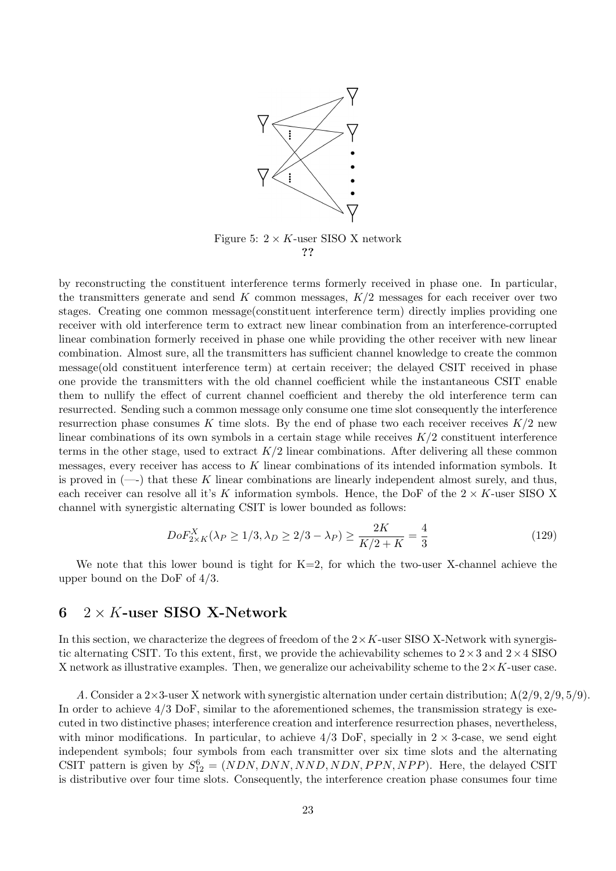

by reconstructing the constituent interference terms formerly received in phase one. In particular, the transmitters generate and send K common messages,  $K/2$  messages for each receiver over two stages. Creating one common message(constituent interference term) directly implies providing one receiver with old interference term to extract new linear combination from an interference-corrupted linear combination formerly received in phase one while providing the other receiver with new linear combination. Almost sure, all the transmitters has sufficient channel knowledge to create the common message(old constituent interference term) at certain receiver; the delayed CSIT received in phase one provide the transmitters with the old channel coefficient while the instantaneous CSIT enable them to nullify the effect of current channel coefficient and thereby the old interference term can resurrected. Sending such a common message only consume one time slot consequently the interference resurrection phase consumes K time slots. By the end of phase two each receiver receives  $K/2$  new linear combinations of its own symbols in a certain stage while receives  $K/2$  constituent interference terms in the other stage, used to extract  $K/2$  linear combinations. After delivering all these common messages, every receiver has access to K linear combinations of its intended information symbols. It is proved in  $(-)$  that these K linear combinations are linearly independent almost surely, and thus, each receiver can resolve all it's K information symbols. Hence, the DoF of the  $2 \times K$ -user SISO X channel with synergistic alternating CSIT is lower bounded as follows:

$$
DoF_{2\times K}^X(\lambda_P \ge 1/3, \lambda_D \ge 2/3 - \lambda_P) \ge \frac{2K}{K/2 + K} = \frac{4}{3}
$$
 (129)

We note that this lower bound is tight for  $K=2$ , for which the two-user X-channel achieve the upper bound on the DoF of 4/3.

# 6  $2 \times K$ -user SISO X-Network

In this section, we characterize the degrees of freedom of the  $2 \times K$ -user SISO X-Network with synergistic alternating CSIT. To this extent, first, we provide the achievability schemes to  $2 \times 3$  and  $2 \times 4$  SISO X network as illustrative examples. Then, we generalize our acheivability scheme to the  $2 \times K$ -user case.

A. Consider a 2×3-user X network with synergistic alternation under certain distribution; Λ(2/9, 2/9, 5/9). In order to achieve  $4/3$  DoF, similar to the aforementioned schemes, the transmission strategy is executed in two distinctive phases; interference creation and interference resurrection phases, nevertheless, with minor modifications. In particular, to achieve  $4/3$  DoF, specially in  $2 \times 3$ -case, we send eight independent symbols; four symbols from each transmitter over six time slots and the alternating CSIT pattern is given by  $S_{12}^6 = (NDN, DNN, NND, NDN, PPN, NPP)$ . Here, the delayed CSIT is distributive over four time slots. Consequently, the interference creation phase consumes four time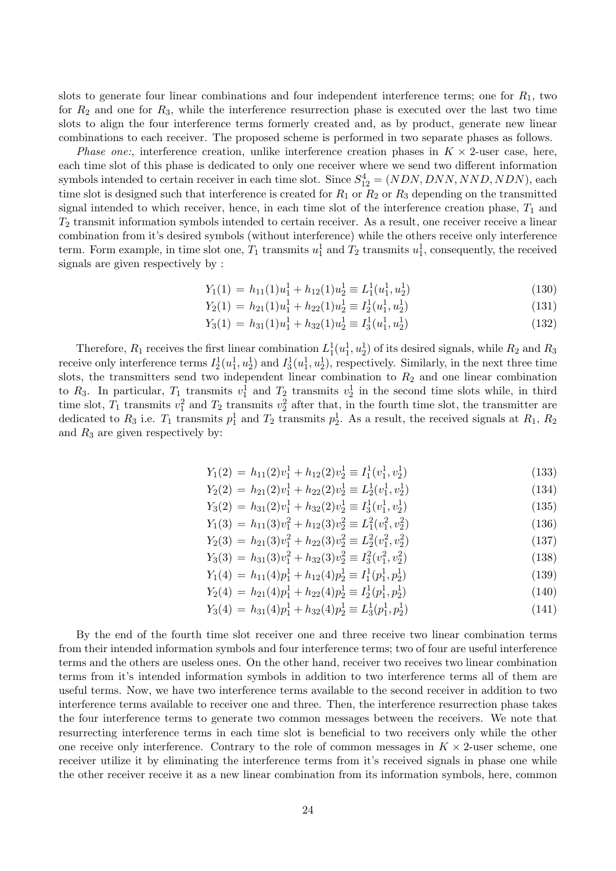slots to generate four linear combinations and four independent interference terms; one for  $R_1$ , two for  $R_2$  and one for  $R_3$ , while the interference resurrection phase is executed over the last two time slots to align the four interference terms formerly created and, as by product, generate new linear combinations to each receiver. The proposed scheme is performed in two separate phases as follows.

*Phase one:*, interference creation, unlike interference creation phases in  $K \times 2$ -user case, here, each time slot of this phase is dedicated to only one receiver where we send two different information symbols intended to certain receiver in each time slot. Since  $S_{12}^4 = (NDN, DNN, NND, NDN)$ , each time slot is designed such that interference is created for  $R_1$  or  $R_2$  or  $R_3$  depending on the transmitted signal intended to which receiver, hence, in each time slot of the interference creation phase,  $T_1$  and  $T_2$  transmit information symbols intended to certain receiver. As a result, one receiver receive a linear combination from it's desired symbols (without interference) while the others receive only interference term. Form example, in time slot one,  $T_1$  transmits  $u_1^1$  and  $T_2$  transmits  $u_1^1$ , consequently, the received signals are given respectively by :

> $Y_1(1) = h_{11}(1)u_1^1 + h_{12}(1)u_2^1 \equiv L_1^1(u_1^1, u_2^1)$ ) (130)

$$
Y_2(1) = h_{21}(1)u_1^1 + h_{22}(1)u_2^1 \equiv I_2^1(u_1^1, u_2^1)
$$
\n(131)

$$
Y_3(1) = h_{31}(1)u_1^1 + h_{32}(1)u_2^1 \equiv I_3^1(u_1^1, u_2^1)
$$
\n(132)

Therefore,  $R_1$  receives the first linear combination  $L_1^1(u_1^1, u_2^1)$  of its desired signals, while  $R_2$  and  $R_3$ receive only interference terms  $I_2^1(u_1^1, u_2^1)$  and  $I_3^1(u_1^1, u_2^1)$ , respectively. Similarly, in the next three time slots, the transmitters send two independent linear combination to  $R_2$  and one linear combination to  $R_3$ . In particular,  $T_1$  transmits  $v_1^1$  and  $T_2$  transmits  $v_2^1$  in the second time slots while, in third time slot,  $T_1$  transmits  $v_1^2$  and  $T_2$  transmits  $v_2^2$  after that, in the fourth time slot, the transmitter are dedicated to  $R_3$  i.e.  $T_1$  transmits  $p_1^1$  and  $T_2$  transmits  $p_2^1$ . As a result, the received signals at  $R_1$ ,  $R_2$ and  $R_3$  are given respectively by:

$$
Y_1(2) = h_{11}(2)v_1^1 + h_{12}(2)v_2^1 \equiv I_1^1(v_1^1, v_2^1)
$$
\n(133)

$$
Y_2(2) = h_{21}(2)v_1^1 + h_{22}(2)v_2^1 \equiv L_2^1(v_1^1, v_2^1)
$$
\n(134)

$$
Y_3(2) = h_{31}(2)v_1^1 + h_{32}(2)v_2^1 \equiv I_3^1(v_1^1, v_2^1)
$$
\n(135)

$$
Y_1(3) = h_{11}(3)v_1^2 + h_{12}(3)v_2^2 \equiv L_1^2(v_1^2, v_2^2)
$$
\n(136)

$$
Y_2(3) = h_{21}(3)v_1^2 + h_{22}(3)v_2^2 \equiv L_2^2(v_1^2, v_2^2)
$$
\n(137)

$$
Y_3(3) = h_{31}(3)v_1^2 + h_{32}(3)v_2^2 \equiv I_3^2(v_1^2, v_2^2)
$$
\n
$$
(138)
$$
\n
$$
Y_3(1) = I_3(v_1^2 + v_2^2) + I_4^2(v_1^2 + v_2^2)
$$
\n
$$
(139)
$$

$$
Y_1(4) = h_{11}(4)p_1^1 + h_{12}(4)p_2^1 \equiv I_1^1(p_1^1, p_2^1)
$$
\n
$$
Y_2(4) = h_{21}(4)p_1^1 + h_{22}(4)p_2^1 \equiv I_2^1(p_1^1, p_2^1)
$$
\n(139)

$$
Y_2(4) = h_{21}(4)p_1^1 + h_{22}(4)p_2^1 \equiv I_2^1(p_1^1, p_2^1)
$$
  
\n
$$
Y_3(4) = h_{31}(4)p_1^1 + h_{32}(4)p_2^1 \equiv L_3^1(p_1^1, p_2^1)
$$
\n(141)

By the end of the fourth time slot receiver one and three receive two linear combination terms from their intended information symbols and four interference terms; two of four are useful interference terms and the others are useless ones. On the other hand, receiver two receives two linear combination terms from it's intended information symbols in addition to two interference terms all of them are useful terms. Now, we have two interference terms available to the second receiver in addition to two interference terms available to receiver one and three. Then, the interference resurrection phase takes the four interference terms to generate two common messages between the receivers. We note that resurrecting interference terms in each time slot is beneficial to two receivers only while the other one receive only interference. Contrary to the role of common messages in  $K \times 2$ -user scheme, one receiver utilize it by eliminating the interference terms from it's received signals in phase one while the other receiver receive it as a new linear combination from its information symbols, here, common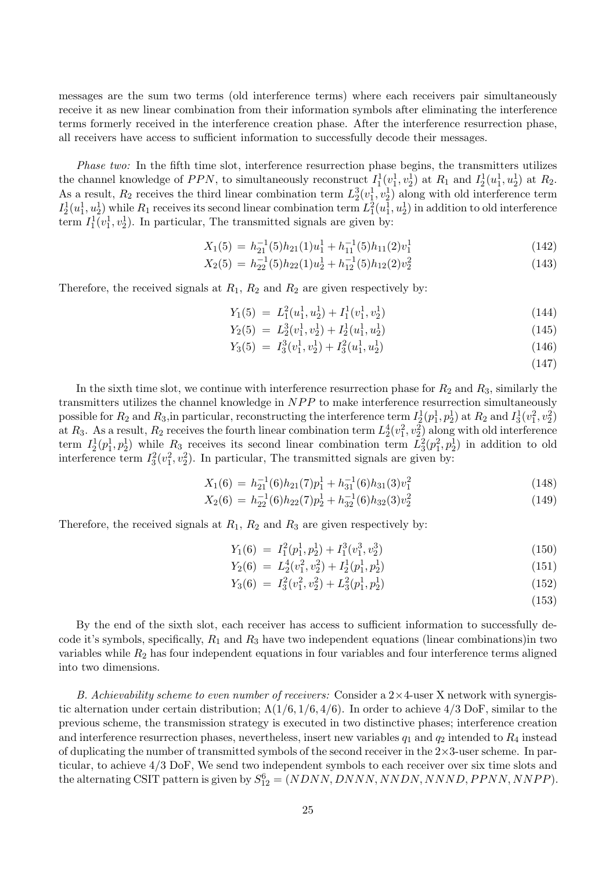messages are the sum two terms (old interference terms) where each receivers pair simultaneously receive it as new linear combination from their information symbols after eliminating the interference terms formerly received in the interference creation phase. After the interference resurrection phase, all receivers have access to sufficient information to successfully decode their messages.

Phase two: In the fifth time slot, interference resurrection phase begins, the transmitters utilizes the channel knowledge of PPN, to simultaneously reconstruct  $I_1^1(v_1^1, v_2^1)$  at  $R_1$  and  $I_2^1(u_1^1, u_2^1)$  at  $R_2$ . As a result,  $R_2$  receives the third linear combination term  $L_2^3(v_1^1, v_2^1)$  along with old interference term  $I_2^1(u_1^1, u_2^1)$  while  $R_1$  receives its second linear combination term  $L_1^2(u_1^1, u_2^1)$  in addition to old interference term  $I_1^1(v_1^1, v_2^1)$ . In particular, The transmitted signals are given by:

$$
X_1(5) = h_{21}^{-1}(5)h_{21}(1)u_1^1 + h_{11}^{-1}(5)h_{11}(2)v_1^1
$$
\n(142)

$$
X_2(5) = h_{22}^{-1}(5)h_{22}(1)u_2^1 + h_{12}^{-1}(5)h_{12}(2)v_2^2
$$
\n(143)

Therefore, the received signals at  $R_1$ ,  $R_2$  and  $R_2$  are given respectively by:

$$
Y_1(5) = L_1^2(u_1^1, u_2^1) + I_1^1(v_1^1, v_2^1) \tag{144}
$$

$$
Y_2(5) = L_2^3(v_1^1, v_2^1) + I_2^1(u_1^1, u_2^1) \tag{145}
$$

$$
Y_3(5) = I_3^3(v_1^1, v_2^1) + I_3^2(u_1^1, u_2^1)
$$
\n(146)

(147)

In the sixth time slot, we continue with interference resurrection phase for  $R_2$  and  $R_3$ , similarly the transmitters utilizes the channel knowledge in  $NPP$  to make interference resurrection simultaneously possible for  $R_2$  and  $R_3$ , in particular, reconstructing the interference term  $I_2^1(p_1^1, p_2^1)$  at  $R_2$  and  $I_3^1(v_1^2, v_2^2)$ at  $R_3$ . As a result,  $R_2$  receives the fourth linear combination term  $L_2^4(v_1^2, v_2^2)$  along with old interference term  $I_2^1(p_1^1, p_2^1)$  while  $R_3$  receives its second linear combination term  $L_3^2(p_1^2, p_2^1)$  in addition to old interference term  $I_3^2(v_1^2, v_2^2)$ . In particular, The transmitted signals are given by:

$$
X_1(6) = h_{21}^{-1}(6)h_{21}(7)p_1^1 + h_{31}^{-1}(6)h_{31}(3)v_1^2
$$
\n(148)

$$
X_2(6) = h_{22}^{-1}(6)h_{22}(7)p_2^1 + h_{32}^{-1}(6)h_{32}(3)v_2^2
$$
\n(149)

Therefore, the received signals at  $R_1$ ,  $R_2$  and  $R_3$  are given respectively by:

$$
Y_1(6) = I_1^2(p_1^1, p_2^1) + I_1^3(v_1^3, v_2^3)
$$
\n(150)

$$
Y_2(6) = L_2^4(v_1^2, v_2^2) + I_2^1(p_1^1, p_2^1) \tag{151}
$$

$$
Y_3(6) = I_3^2(v_1^2, v_2^2) + L_3^2(p_1^1, p_2^1) \tag{152}
$$

$$
(153)
$$

By the end of the sixth slot, each receiver has access to sufficient information to successfully decode it's symbols, specifically,  $R_1$  and  $R_3$  have two independent equations (linear combinations)in two variables while  $R_2$  has four independent equations in four variables and four interference terms aligned into two dimensions.

B. Achievability scheme to even number of receivers: Consider a  $2\times 4$ -user X network with synergistic alternation under certain distribution;  $\Lambda(1/6, 1/6, 4/6)$ . In order to achieve  $4/3$  DoF, similar to the previous scheme, the transmission strategy is executed in two distinctive phases; interference creation and interference resurrection phases, nevertheless, insert new variables  $q_1$  and  $q_2$  intended to  $R_4$  instead of duplicating the number of transmitted symbols of the second receiver in the  $2\times3$ -user scheme. In particular, to achieve 4/3 DoF, We send two independent symbols to each receiver over six time slots and the alternating CSIT pattern is given by  $S_{12}^6 = (NDNN, DNNN, NNDN, NNND, PPNN, NNPP)$ .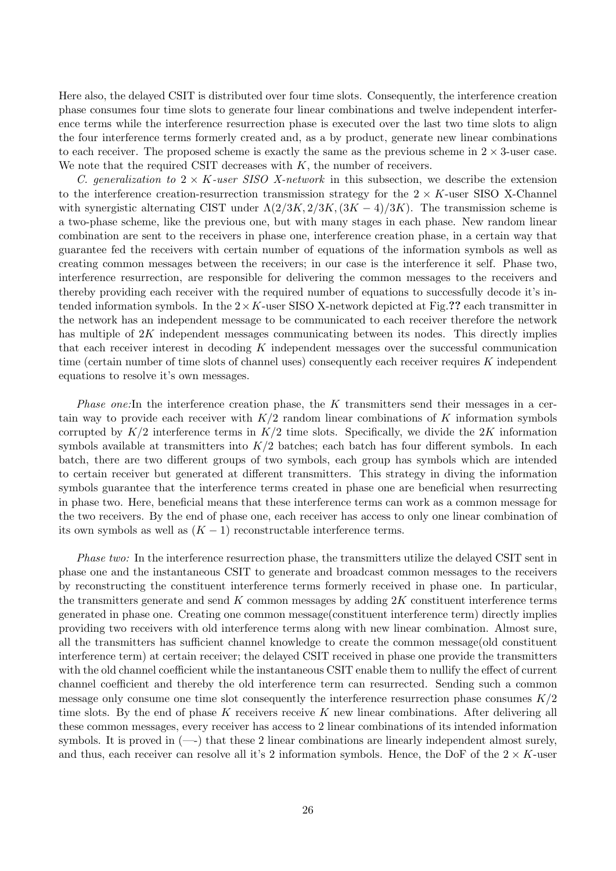Here also, the delayed CSIT is distributed over four time slots. Consequently, the interference creation phase consumes four time slots to generate four linear combinations and twelve independent interference terms while the interference resurrection phase is executed over the last two time slots to align the four interference terms formerly created and, as a by product, generate new linear combinations to each receiver. The proposed scheme is exactly the same as the previous scheme in  $2 \times 3$ -user case. We note that the required CSIT decreases with  $K$ , the number of receivers.

C. generalization to  $2 \times K$ -user SISO X-network in this subsection, we describe the extension to the interference creation-resurrection transmission strategy for the  $2 \times K$ -user SISO X-Channel with synergistic alternating CIST under  $\Lambda(2/3K, 2/3K, (3K-4)/3K)$ . The transmission scheme is a two-phase scheme, like the previous one, but with many stages in each phase. New random linear combination are sent to the receivers in phase one, interference creation phase, in a certain way that guarantee fed the receivers with certain number of equations of the information symbols as well as creating common messages between the receivers; in our case is the interference it self. Phase two, interference resurrection, are responsible for delivering the common messages to the receivers and thereby providing each receiver with the required number of equations to successfully decode it's intended information symbols. In the  $2 \times K$ -user SISO X-network depicted at Fig.?? each transmitter in the network has an independent message to be communicated to each receiver therefore the network has multiple of  $2K$  independent messages communicating between its nodes. This directly implies that each receiver interest in decoding  $K$  independent messages over the successful communication time (certain number of time slots of channel uses) consequently each receiver requires  $K$  independent equations to resolve it's own messages.

Phase one: In the interference creation phase, the K transmitters send their messages in a certain way to provide each receiver with  $K/2$  random linear combinations of K information symbols corrupted by  $K/2$  interference terms in  $K/2$  time slots. Specifically, we divide the 2K information symbols available at transmitters into  $K/2$  batches; each batch has four different symbols. In each batch, there are two different groups of two symbols, each group has symbols which are intended to certain receiver but generated at different transmitters. This strategy in diving the information symbols guarantee that the interference terms created in phase one are beneficial when resurrecting in phase two. Here, beneficial means that these interference terms can work as a common message for the two receivers. By the end of phase one, each receiver has access to only one linear combination of its own symbols as well as  $(K - 1)$  reconstructable interference terms.

Phase two: In the interference resurrection phase, the transmitters utilize the delayed CSIT sent in phase one and the instantaneous CSIT to generate and broadcast common messages to the receivers by reconstructing the constituent interference terms formerly received in phase one. In particular, the transmitters generate and send  $K$  common messages by adding  $2K$  constituent interference terms generated in phase one. Creating one common message(constituent interference term) directly implies providing two receivers with old interference terms along with new linear combination. Almost sure, all the transmitters has sufficient channel knowledge to create the common message(old constituent interference term) at certain receiver; the delayed CSIT received in phase one provide the transmitters with the old channel coefficient while the instantaneous CSIT enable them to nullify the effect of current channel coefficient and thereby the old interference term can resurrected. Sending such a common message only consume one time slot consequently the interference resurrection phase consumes  $K/2$ time slots. By the end of phase  $K$  receivers receive  $K$  new linear combinations. After delivering all these common messages, every receiver has access to 2 linear combinations of its intended information symbols. It is proved in  $(--)$  that these 2 linear combinations are linearly independent almost surely, and thus, each receiver can resolve all it's 2 information symbols. Hence, the DoF of the  $2 \times K$ -user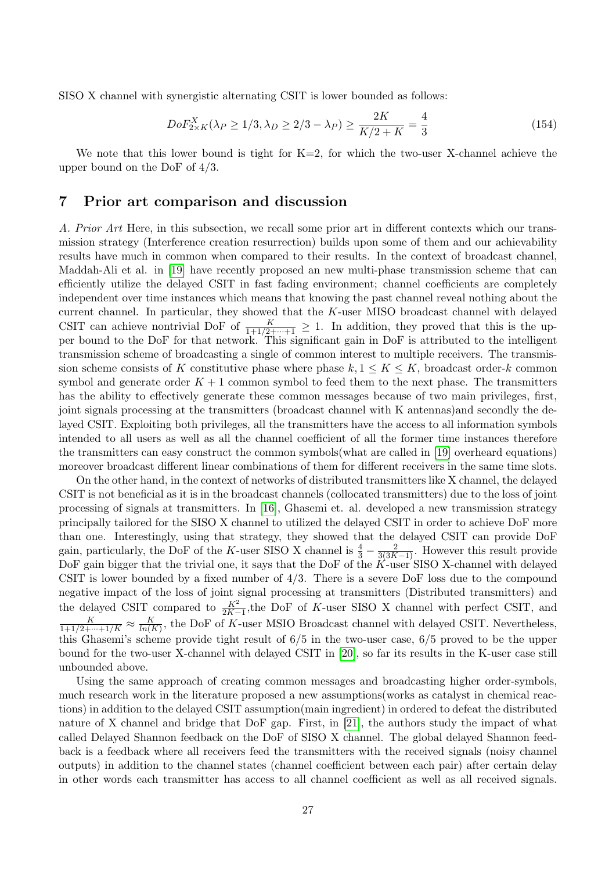SISO X channel with synergistic alternating CSIT is lower bounded as follows:

$$
DoF_{2\times K}^{X}(\lambda_P \ge 1/3, \lambda_D \ge 2/3 - \lambda_P) \ge \frac{2K}{K/2 + K} = \frac{4}{3}
$$
\n(154)

We note that this lower bound is tight for  $K=2$ , for which the two-user X-channel achieve the upper bound on the DoF of 4/3.

# 7 Prior art comparison and discussion

A. Prior Art Here, in this subsection, we recall some prior art in different contexts which our transmission strategy (Interference creation resurrection) builds upon some of them and our achievability results have much in common when compared to their results. In the context of broadcast channel, Maddah-Ali et al. in [\[19\]](#page-29-12) have recently proposed an new multi-phase transmission scheme that can efficiently utilize the delayed CSIT in fast fading environment; channel coefficients are completely independent over time instances which means that knowing the past channel reveal nothing about the current channel. In particular, they showed that the  $K$ -user MISO broadcast channel with delayed CSIT can achieve nontrivial DoF of  $\frac{K}{1+1/2+\cdots+1} \geq 1$ . In addition, they proved that this is the upper bound to the DoF for that network. This significant gain in DoF is attributed to the intelligent transmission scheme of broadcasting a single of common interest to multiple receivers. The transmission scheme consists of K constitutive phase where phase  $k, 1 \leq K \leq K$ , broadcast order-k common symbol and generate order  $K + 1$  common symbol to feed them to the next phase. The transmitters has the ability to effectively generate these common messages because of two main privileges, first, joint signals processing at the transmitters (broadcast channel with K antennas)and secondly the delayed CSIT. Exploiting both privileges, all the transmitters have the access to all information symbols intended to all users as well as all the channel coefficient of all the former time instances therefore the transmitters can easy construct the common symbols(what are called in [\[19\]](#page-29-12) overheard equations) moreover broadcast different linear combinations of them for different receivers in the same time slots.

On the other hand, in the context of networks of distributed transmitters like X channel, the delayed CSIT is not beneficial as it is in the broadcast channels (collocated transmitters) due to the loss of joint processing of signals at transmitters. In [\[16\]](#page-29-9), Ghasemi et. al. developed a new transmission strategy principally tailored for the SISO X channel to utilized the delayed CSIT in order to achieve DoF more than one. Interestingly, using that strategy, they showed that the delayed CSIT can provide DoF gain, particularly, the DoF of the K-user SISO X channel is  $\frac{4}{3} - \frac{2}{3(3K-1)}$ . However this result provide DoF gain bigger that the trivial one, it says that the DoF of the  $K$ -user SISO X-channel with delayed CSIT is lower bounded by a fixed number of  $4/3$ . There is a severe DoF loss due to the compound negative impact of the loss of joint signal processing at transmitters (Distributed transmitters) and the delayed CSIT compared to  $\frac{K^2}{2K-1}$ , the DoF of K-user SISO X channel with perfect CSIT, and  $\frac{K}{1+1/2+\cdots+1/K} \approx \frac{K}{\ln(R)}$  $\frac{K}{\ln(K)}$ , the DoF of K-user MSIO Broadcast channel with delayed CSIT. Nevertheless, this Ghasemi's scheme provide tight result of 6/5 in the two-user case, 6/5 proved to be the upper bound for the two-user X-channel with delayed CSIT in [\[20\]](#page-29-13), so far its results in the K-user case still unbounded above.

Using the same approach of creating common messages and broadcasting higher order-symbols, much research work in the literature proposed a new assumptions(works as catalyst in chemical reactions) in addition to the delayed CSIT assumption(main ingredient) in ordered to defeat the distributed nature of X channel and bridge that DoF gap. First, in [\[21\]](#page-29-14), the authors study the impact of what called Delayed Shannon feedback on the DoF of SISO X channel. The global delayed Shannon feedback is a feedback where all receivers feed the transmitters with the received signals (noisy channel outputs) in addition to the channel states (channel coefficient between each pair) after certain delay in other words each transmitter has access to all channel coefficient as well as all received signals.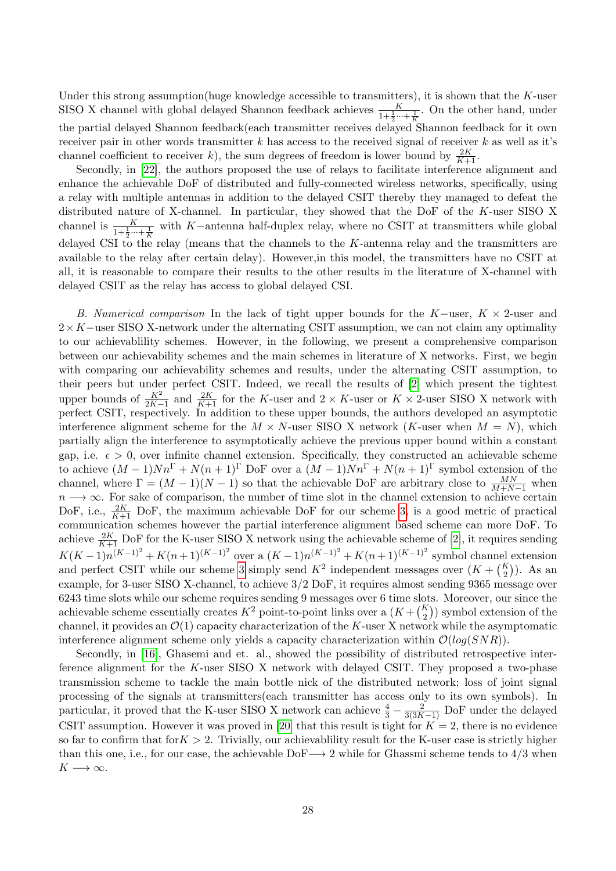Under this strong assumption(huge knowledge accessible to transmitters), it is shown that the  $K$ -user SISO X channel with global delayed Shannon feedback achieves  $\frac{K}{1+\frac{1}{2}\cdots+\frac{1}{K}}$ . On the other hand, under the partial delayed Shannon feedback(each transmitter receives delayed Shannon feedback for it own receiver pair in other words transmitter k has access to the received signal of receiver k as well as it's channel coefficient to receiver k), the sum degrees of freedom is lower bound by  $\frac{2K}{K+1}$ .

Secondly, in [\[22\]](#page-30-0), the authors proposed the use of relays to facilitate interference alignment and enhance the achievable DoF of distributed and fully-connected wireless networks, specifically, using a relay with multiple antennas in addition to the delayed CSIT thereby they managed to defeat the distributed nature of X-channel. In particular, they showed that the DoF of the K-user SISO X channel is  $\frac{K}{1+\frac{1}{2}\cdots+\frac{1}{K}}$  with K-antenna half-duplex relay, where no CSIT at transmitters while global delayed CSI to the relay (means that the channels to the K-antenna relay and the transmitters are available to the relay after certain delay). However,in this model, the transmitters have no CSIT at all, it is reasonable to compare their results to the other results in the literature of X-channel with delayed CSIT as the relay has access to global delayed CSI.

B. Numerical comparison In the lack of tight upper bounds for the K-user,  $K \times 2$ -user and  $2 \times K$ −user SISO X-network under the alternating CSIT assumption, we can not claim any optimality to our achievablility schemes. However, in the following, we present a comprehensive comparison between our achievability schemes and the main schemes in literature of X networks. First, we begin with comparing our achievability schemes and results, under the alternating CSIT assumption, to their peers but under perfect CSIT. Indeed, we recall the results of [\[2\]](#page-28-1) which present the tightest upper bounds of  $\frac{K^2}{2K-1}$  and  $\frac{2K}{K+1}$  for the K-user and  $2 \times K$ -user or  $K \times 2$ -user SISO X network with perfect CSIT, respectively. In addition to these upper bounds, the authors developed an asymptotic interference alignment scheme for the  $M \times N$ -user SISO X network (K-user when  $M = N$ ), which partially align the interference to asymptotically achieve the previous upper bound within a constant gap, i.e.  $\epsilon > 0$ , over infinite channel extension. Specifically, they constructed an achievable scheme to achieve  $(M-1)Nn^{\Gamma} + N(n+1)^{\Gamma}$  DoF over a  $(M-1)Nn^{\Gamma} + N(n+1)^{\Gamma}$  symbol extension of the channel, where  $\Gamma = (M-1)(N-1)$  so that the achievable DoF are arbitrary close to  $\frac{MN}{M+N-1}$  when  $n \longrightarrow \infty$ . For sake of comparison, the number of time slot in the channel extension to achieve certain DoF, i.e.,  $\frac{2K}{K+1}$  DoF, the maximum achievable DoF for our scheme [3,](#page-4-1) is a good metric of practical communication schemes however the partial interference alignment based scheme can more DoF. To achieve  $\frac{2K}{K+1}$  DoF for the K-user SISO X network using the achievable scheme of [\[2\]](#page-28-1), it requires sending  $K(K-1)n^{(K-1)^2} + K(n+1)^{(K-1)^2}$  over a  $(K-1)n^{(K-1)^2} + K(n+1)^{(K-1)^2}$  symbol channel extension and perfect CSIT while our scheme [3](#page-4-1) simply send  $K^2$  independent messages over  $(K + \binom{K}{2})$ . As an example, for 3-user SISO X-channel, to achieve 3/2 DoF, it requires almost sending 9365 message over 6243 time slots while our scheme requires sending 9 messages over 6 time slots. Moreover, our since the achievable scheme essentially creates  $K^2$  point-to-point links over a  $(K + \binom{K}{2})$  symbol extension of the channel, it provides an  $\mathcal{O}(1)$  capacity characterization of the K-user X network while the asymptomatic interference alignment scheme only yields a capacity characterization within  $\mathcal{O}(log(SNR))$ .

Secondly, in [\[16\]](#page-29-9), Ghasemi and et. al., showed the possibility of distributed retrospective interference alignment for the K-user SISO X network with delayed CSIT. They proposed a two-phase transmission scheme to tackle the main bottle nick of the distributed network; loss of joint signal processing of the signals at transmitters(each transmitter has access only to its own symbols). In particular, it proved that the K-user SISO X network can achieve  $\frac{4}{3} - \frac{2}{3(3K-1)}$  DoF under the delayed CSIT assumption. However it was proved in [\[20\]](#page-29-13) that this result is tight for  $K = 2$ , there is no evidence so far to confirm that for  $K > 2$ . Trivially, our achievablility result for the K-user case is strictly higher than this one, i.e., for our case, the achievable DoF $\rightarrow$  2 while for Ghassmi scheme tends to 4/3 when  $K \longrightarrow \infty$ .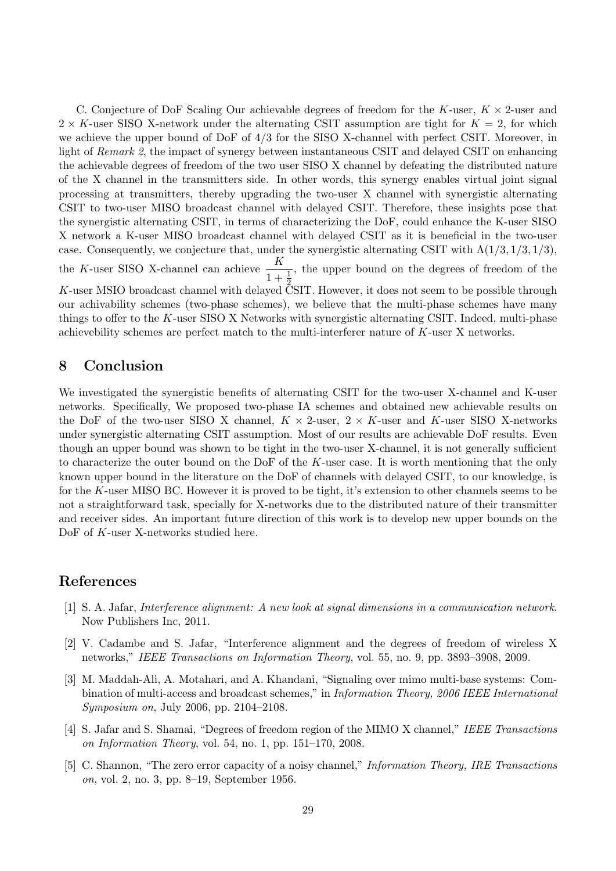C. Conjecture of DoF Scaling Our achievable degrees of freedom for the K-user,  $K \times 2$ -user and  $2 \times K$ -user SISO X-network under the alternating CSIT assumption are tight for  $K = 2$ , for which we achieve the upper bound of DoF of 4/3 for the SISO X-channel with perfect CSIT. Moreover, in light of Remark 2, the impact of synergy between instantaneous CSIT and delayed CSIT on enhancing the achievable degrees of freedom of the two user SISO X channel by defeating the distributed nature of the X channel in the transmitters side. In other words, this synergy enables virtual joint signal processing at transmitters, thereby upgrading the two-user X channel with synergistic alternating CSIT to two-user MISO broadcast channel with delayed CSIT. Therefore, these insights pose that the synergistic alternating CSIT, in terms of characterizing the DoF, could enhance the K-user SISO X network a K-user MISO broadcast channel with delayed CSIT as it is beneficial in the two-user case. Consequently, we conjecture that, under the synergistic alternating CSIT with  $\Lambda(1/3, 1/3, 1/3)$ , the K-user SISO X-channel can achieve  $\frac{K}{\sqrt{K}}$  $1 + \frac{1}{2}$ , the upper bound on the degrees of freedom of the K-user MSIO broadcast channel with delayed CSIT. However, it does not seem to be possible through our achivability schemes (two-phase schemes), we believe that the multi-phase schemes have many things to offer to the K-user SISO X Networks with synergistic alternating CSIT. Indeed, multi-phase achievebility schemes are perfect match to the multi-interferer nature of K-user X networks.

# 8 Conclusion

We investigated the synergistic benefits of alternating CSIT for the two-user X-channel and K-user networks. Specifically, We proposed two-phase IA schemes and obtained new achievable results on the DoF of the two-user SISO X channel,  $K \times 2$ -user,  $2 \times K$ -user and K-user SISO X-networks under synergistic alternating CSIT assumption. Most of our results are achievable DoF results. Even though an upper bound was shown to be tight in the two-user X-channel, it is not generally sufficient to characterize the outer bound on the DoF of the K-user case. It is worth mentioning that the only known upper bound in the literature on the DoF of channels with delayed CSIT, to our knowledge, is for the K-user MISO BC. However it is proved to be tight, it's extension to other channels seems to be not a straightforward task, specially for X-networks due to the distributed nature of their transmitter and receiver sides. An important future direction of this work is to develop new upper bounds on the DoF of K-user X-networks studied here.

### References

- <span id="page-28-0"></span>[1] S. A. Jafar, Interference alignment: A new look at signal dimensions in a communication network. Now Publishers Inc, 2011.
- <span id="page-28-1"></span>[2] V. Cadambe and S. Jafar, "Interference alignment and the degrees of freedom of wireless X networks," IEEE Transactions on Information Theory, vol. 55, no. 9, pp. 3893–3908, 2009.
- <span id="page-28-2"></span>[3] M. Maddah-Ali, A. Motahari, and A. Khandani, "Signaling over mimo multi-base systems: Combination of multi-access and broadcast schemes," in Information Theory, 2006 IEEE International Symposium on, July 2006, pp. 2104–2108.
- <span id="page-28-3"></span>[4] S. Jafar and S. Shamai, "Degrees of freedom region of the MIMO X channel," IEEE Transactions on Information Theory, vol. 54, no. 1, pp. 151–170, 2008.
- <span id="page-28-4"></span>[5] C. Shannon, "The zero error capacity of a noisy channel," *Information Theory, IRE Transactions* on, vol. 2, no. 3, pp. 8–19, September 1956.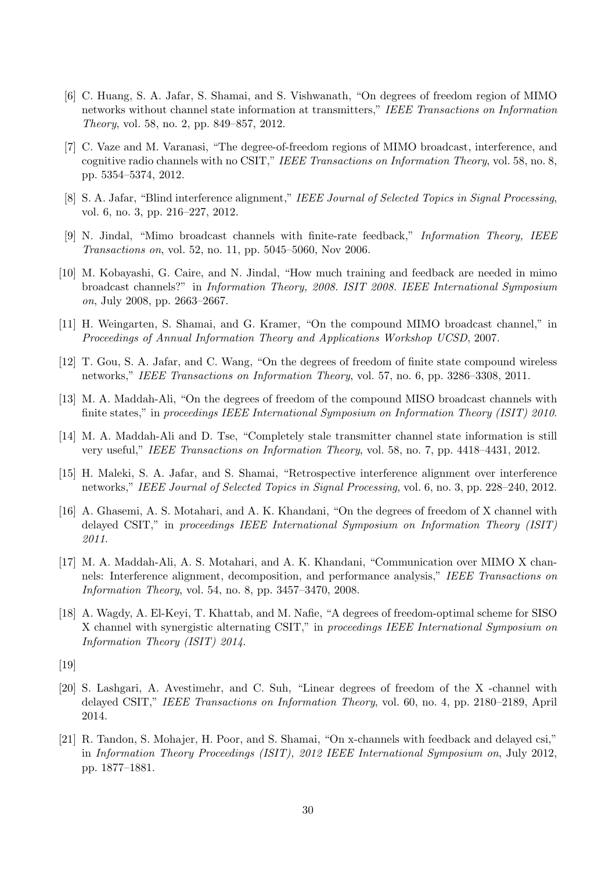- <span id="page-29-0"></span>[6] C. Huang, S. A. Jafar, S. Shamai, and S. Vishwanath, "On degrees of freedom region of MIMO networks without channel state information at transmitters," IEEE Transactions on Information Theory, vol. 58, no. 2, pp. 849–857, 2012.
- <span id="page-29-1"></span>[7] C. Vaze and M. Varanasi, "The degree-of-freedom regions of MIMO broadcast, interference, and cognitive radio channels with no CSIT," IEEE Transactions on Information Theory, vol. 58, no. 8, pp. 5354–5374, 2012.
- <span id="page-29-2"></span>[8] S. A. Jafar, "Blind interference alignment," IEEE Journal of Selected Topics in Signal Processing, vol. 6, no. 3, pp. 216–227, 2012.
- <span id="page-29-3"></span>[9] N. Jindal, "Mimo broadcast channels with finite-rate feedback," Information Theory, IEEE Transactions on, vol. 52, no. 11, pp. 5045–5060, Nov 2006.
- <span id="page-29-4"></span>[10] M. Kobayashi, G. Caire, and N. Jindal, "How much training and feedback are needed in mimo broadcast channels?" in Information Theory, 2008. ISIT 2008. IEEE International Symposium on, July 2008, pp. 2663–2667.
- <span id="page-29-5"></span>[11] H. Weingarten, S. Shamai, and G. Kramer, "On the compound MIMO broadcast channel," in Proceedings of Annual Information Theory and Applications Workshop UCSD, 2007.
- [12] T. Gou, S. A. Jafar, and C. Wang, "On the degrees of freedom of finite state compound wireless networks," IEEE Transactions on Information Theory, vol. 57, no. 6, pp. 3286–3308, 2011.
- <span id="page-29-6"></span>[13] M. A. Maddah-Ali, "On the degrees of freedom of the compound MISO broadcast channels with finite states," in proceedings IEEE International Symposium on Information Theory (ISIT) 2010.
- <span id="page-29-7"></span>[14] M. A. Maddah-Ali and D. Tse, "Completely stale transmitter channel state information is still very useful," IEEE Transactions on Information Theory, vol. 58, no. 7, pp. 4418–4431, 2012.
- <span id="page-29-8"></span>[15] H. Maleki, S. A. Jafar, and S. Shamai, "Retrospective interference alignment over interference networks," IEEE Journal of Selected Topics in Signal Processing, vol. 6, no. 3, pp. 228–240, 2012.
- <span id="page-29-9"></span>[16] A. Ghasemi, A. S. Motahari, and A. K. Khandani, "On the degrees of freedom of X channel with delayed CSIT," in proceedings IEEE International Symposium on Information Theory (ISIT) 2011.
- <span id="page-29-10"></span>[17] M. A. Maddah-Ali, A. S. Motahari, and A. K. Khandani, "Communication over MIMO X channels: Interference alignment, decomposition, and performance analysis," IEEE Transactions on Information Theory, vol. 54, no. 8, pp. 3457–3470, 2008.
- <span id="page-29-11"></span>[18] A. Wagdy, A. El-Keyi, T. Khattab, and M. Nafie, "A degrees of freedom-optimal scheme for SISO X channel with synergistic alternating CSIT," in proceedings IEEE International Symposium on Information Theory (ISIT) 2014.
- <span id="page-29-12"></span>[19]
- <span id="page-29-13"></span>[20] S. Lashgari, A. Avestimehr, and C. Suh, "Linear degrees of freedom of the X -channel with delayed CSIT," IEEE Transactions on Information Theory, vol. 60, no. 4, pp. 2180–2189, April 2014.
- <span id="page-29-14"></span>[21] R. Tandon, S. Mohajer, H. Poor, and S. Shamai, "On x-channels with feedback and delayed csi," in Information Theory Proceedings (ISIT), 2012 IEEE International Symposium on, July 2012, pp. 1877–1881.